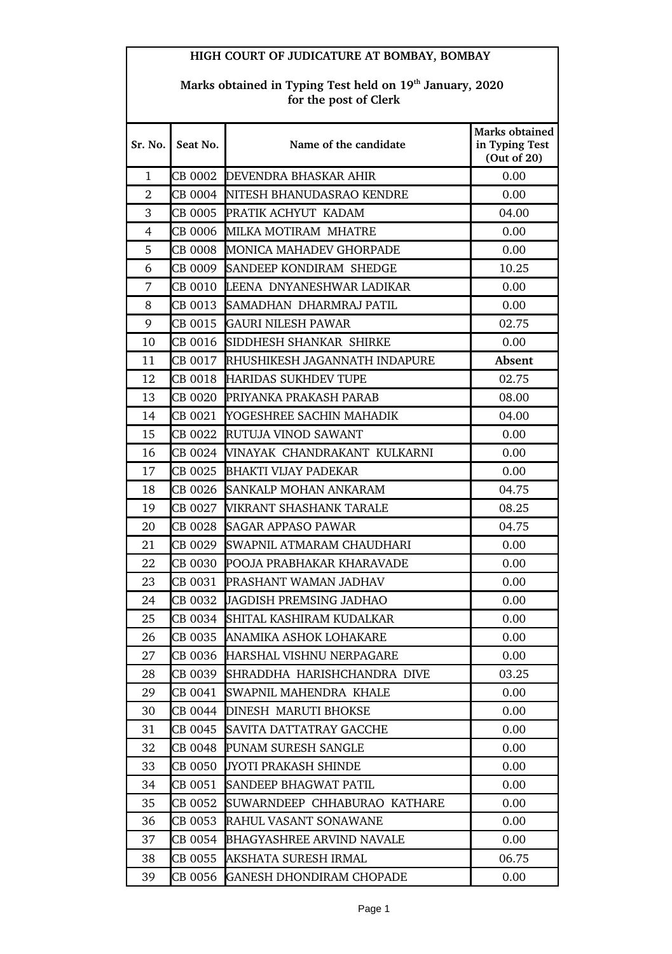| HIGH COURT OF JUDICATURE AT BOMBAY, BOMBAY |                                                                                               |                                       |                                                 |  |  |
|--------------------------------------------|-----------------------------------------------------------------------------------------------|---------------------------------------|-------------------------------------------------|--|--|
|                                            | Marks obtained in Typing Test held on 19 <sup>th</sup> January, 2020<br>for the post of Clerk |                                       |                                                 |  |  |
| Sr. No.                                    | Seat No.                                                                                      | Name of the candidate                 | Marks obtained<br>in Typing Test<br>(Out of 20) |  |  |
| 1                                          |                                                                                               | CB 0002 DEVENDRA BHASKAR AHIR         | 0.00                                            |  |  |
| $\overline{2}$                             |                                                                                               | CB 0004 INITESH BHANUDASRAO KENDRE    | 0.00                                            |  |  |
| 3                                          |                                                                                               | CB 0005 PRATIK ACHYUT KADAM           | 04.00                                           |  |  |
| 4                                          |                                                                                               | CB 0006 IMILKA MOTIRAM MHATRE         | 0.00                                            |  |  |
| 5                                          |                                                                                               | CB 0008 MONICA MAHADEV GHORPADE       | 0.00                                            |  |  |
| 6                                          |                                                                                               | CB 0009 SANDEEP KONDIRAM SHEDGE       | 10.25                                           |  |  |
| 7                                          |                                                                                               | CB 0010 LEENA DNYANESHWAR LADIKAR     | 0.00                                            |  |  |
| 8                                          |                                                                                               | CB 0013 SAMADHAN DHARMRAJ PATIL       | 0.00                                            |  |  |
| 9                                          |                                                                                               | CB 0015 GAURI NILESH PAWAR            | 02.75                                           |  |  |
| 10                                         |                                                                                               | CB 0016 SIDDHESH SHANKAR SHIRKE       | 0.00                                            |  |  |
| 11                                         |                                                                                               | CB 0017 RHUSHIKESH JAGANNATH INDAPURE | Absent                                          |  |  |
| 12                                         |                                                                                               | CB 0018 HARIDAS SUKHDEV TUPE          | 02.75                                           |  |  |
| 13                                         |                                                                                               | CB 0020 PRIYANKA PRAKASH PARAB        | 08.00                                           |  |  |
| 14                                         | CB 0021                                                                                       | YOGESHREE SACHIN MAHADIK              | 04.00                                           |  |  |
| 15                                         |                                                                                               | CB 0022 RUTUJA VINOD SAWANT           | 0.00                                            |  |  |
| 16                                         |                                                                                               | CB 0024 WINAYAK CHANDRAKANT KULKARNI  | 0.00                                            |  |  |
| 17                                         |                                                                                               | CB 0025 BHAKTI VIJAY PADEKAR          | 0.00                                            |  |  |
| 18                                         |                                                                                               | CB 0026 SANKALP MOHAN ANKARAM         | 04.75                                           |  |  |
| 19                                         | CB 0027                                                                                       | VIKRANT SHASHANK TARALE               | 08.25                                           |  |  |
| 20                                         | CB 0028                                                                                       | <b>SAGAR APPASO PAWAR</b>             | 04.75                                           |  |  |
| 21                                         | CB 0029                                                                                       | SWAPNIL ATMARAM CHAUDHARI             | 0.00                                            |  |  |
| 22                                         |                                                                                               | CB 0030 POOJA PRABHAKAR KHARAVADE     | 0.00                                            |  |  |
| 23                                         | CB 0031                                                                                       | PRASHANT WAMAN JADHAV                 | 0.00                                            |  |  |
| 24                                         | CB 0032                                                                                       | JAGDISH PREMSING JADHAO               | 0.00                                            |  |  |
| 25                                         | CB 0034                                                                                       | SHITAL KASHIRAM KUDALKAR              | 0.00                                            |  |  |
| 26                                         | CB 0035                                                                                       | ANAMIKA ASHOK LOHAKARE                | 0.00                                            |  |  |
| 27                                         | CB 0036                                                                                       | HARSHAL VISHNU NERPAGARE              | 0.00                                            |  |  |
| 28                                         | CB 0039                                                                                       | SHRADDHA HARISHCHANDRA DIVE           | 03.25                                           |  |  |
| 29                                         | CB 0041                                                                                       | SWAPNIL MAHENDRA KHALE                | 0.00                                            |  |  |
| 30                                         | CB 0044                                                                                       | <b>DINESH MARUTI BHOKSE</b>           | 0.00                                            |  |  |
| 31                                         | CB 0045                                                                                       | SAVITA DATTATRAY GACCHE               | 0.00                                            |  |  |
| 32                                         | CB 0048                                                                                       | PUNAM SURESH SANGLE                   | 0.00                                            |  |  |
| 33                                         | CB 0050                                                                                       | JYOTI PRAKASH SHINDE                  | 0.00                                            |  |  |
| 34                                         | CB 0051                                                                                       | <b>SANDEEP BHAGWAT PATIL</b>          | 0.00                                            |  |  |
| 35                                         | CB 0052                                                                                       | SUWARNDEEP CHHABURAO KATHARE          | 0.00                                            |  |  |
| 36                                         | CB 0053                                                                                       | RAHUL VASANT SONAWANE                 | 0.00                                            |  |  |
| 37                                         | CB 0054                                                                                       | <b>BHAGYASHREE ARVIND NAVALE</b>      | 0.00                                            |  |  |
| 38                                         | CB 0055                                                                                       | AKSHATA SURESH IRMAL                  | 06.75                                           |  |  |
| 39                                         | CB 0056                                                                                       | <b>GANESH DHONDIRAM CHOPADE</b>       | 0.00                                            |  |  |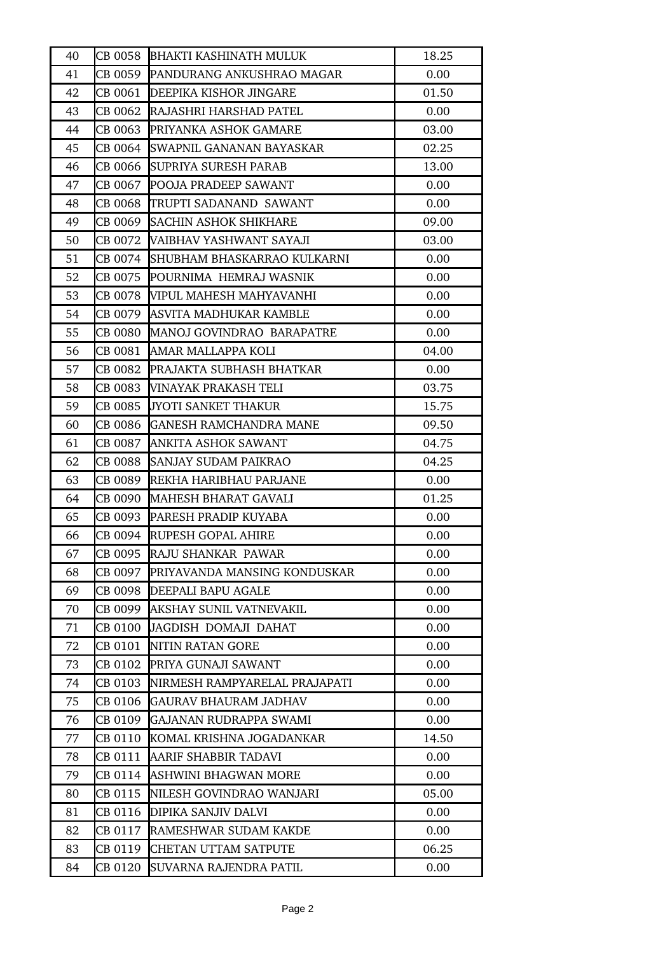| 40 |         | CB 0058 BHAKTI KASHINATH MULUK          | 18.25 |
|----|---------|-----------------------------------------|-------|
| 41 |         | CB 0059 PANDURANG ANKUSHRAO MAGAR       | 0.00  |
| 42 |         | CB 0061 DEEPIKA KISHOR JINGARE          | 01.50 |
| 43 | CB 0062 | RAJASHRI HARSHAD PATEL                  | 0.00  |
| 44 | CB 0063 | PRIYANKA ASHOK GAMARE                   | 03.00 |
| 45 |         | CB 0064 SWAPNIL GANANAN BAYASKAR        | 02.25 |
| 46 |         | CB 0066 SUPRIYA SURESH PARAB            | 13.00 |
| 47 |         | ICB 0067 IPOOJA PRADEEP SAWANT          | 0.00  |
| 48 | CB 0068 | TRUPTI SADANAND SAWANT                  | 0.00  |
| 49 | CB 0069 | <b>SACHIN ASHOK SHIKHARE</b>            | 09.00 |
| 50 |         | CB 0072 VAIBHAV YASHWANT SAYAJI         | 03.00 |
| 51 |         | CB 0074 SHUBHAM BHASKARRAO KULKARNI     | 0.00  |
| 52 | CB 0075 | POURNIMA HEMRAJ WASNIK                  | 0.00  |
| 53 |         | ICB 0078 WIPUL MAHESH MAHYAVANHI        | 0.00  |
| 54 |         | CB 0079 ASVITA MADHUKAR KAMBLE          | 0.00  |
| 55 |         | CB 0080 MANOJ GOVINDRAO BARAPATRE       | 0.00  |
| 56 | CB 0081 | AMAR MALLAPPA KOLI                      | 04.00 |
| 57 |         | <b>CB 0082 PRAJAKTA SUBHASH BHATKAR</b> | 0.00  |
| 58 | CB 0083 | VINAYAK PRAKASH TELI                    | 03.75 |
| 59 | CB 0085 | <b>JYOTI SANKET THAKUR</b>              | 15.75 |
| 60 |         | CB 0086 GANESH RAMCHANDRA MANE          | 09.50 |
| 61 | CB 0087 | ANKITA ASHOK SAWANT                     | 04.75 |
| 62 | CB 0088 | <b>SANJAY SUDAM PAIKRAO</b>             | 04.25 |
| 63 | CB 0089 | REKHA HARIBHAU PARJANE                  | 0.00  |
| 64 |         | CB 0090 MAHESH BHARAT GAVALI            | 01.25 |
| 65 |         | ICB 0093 IPARESH PRADIP KUYABA          | 0.00  |
| 66 |         | CB 0094 RUPESH GOPAL AHIRE              | 0.00  |
| 67 | CB 0095 | RAJU SHANKAR PAWAR                      | 0.00  |
| 68 | CB 0097 | PRIYAVANDA MANSING KONDUSKAR            | 0.00  |
| 69 |         | CB 0098 DEEPALI BAPU AGALE              | 0.00  |
| 70 | CB 0099 | AKSHAY SUNIL VATNEVAKIL                 | 0.00  |
| 71 | CB 0100 | <b>JAGDISH DOMAJI DAHAT</b>             | 0.00  |
| 72 | CB 0101 | NITIN RATAN GORE                        | 0.00  |
| 73 | CB 0102 | PRIYA GUNAJI SAWANT                     | 0.00  |
| 74 | CB 0103 | NIRMESH RAMPYARELAL PRAJAPATI           | 0.00  |
| 75 | CB 0106 | GAURAV BHAURAM JADHAV                   | 0.00  |
| 76 | CB 0109 | <b>GAJANAN RUDRAPPA SWAMI</b>           | 0.00  |
| 77 | CB 0110 | KOMAL KRISHNA JOGADANKAR                | 14.50 |
| 78 | CB 0111 | AARIF SHABBIR TADAVI                    | 0.00  |
| 79 | CB 0114 | ASHWINI BHAGWAN MORE                    | 0.00  |
| 80 | CB 0115 | NILESH GOVINDRAO WANJARI                | 05.00 |
| 81 | CB 0116 | DIPIKA SANJIV DALVI                     | 0.00  |
| 82 | CB 0117 | RAMESHWAR SUDAM KAKDE                   | 0.00  |
| 83 | CB 0119 | <b>CHETAN UTTAM SATPUTE</b>             | 06.25 |
| 84 | CB 0120 | SUVARNA RAJENDRA PATIL                  | 0.00  |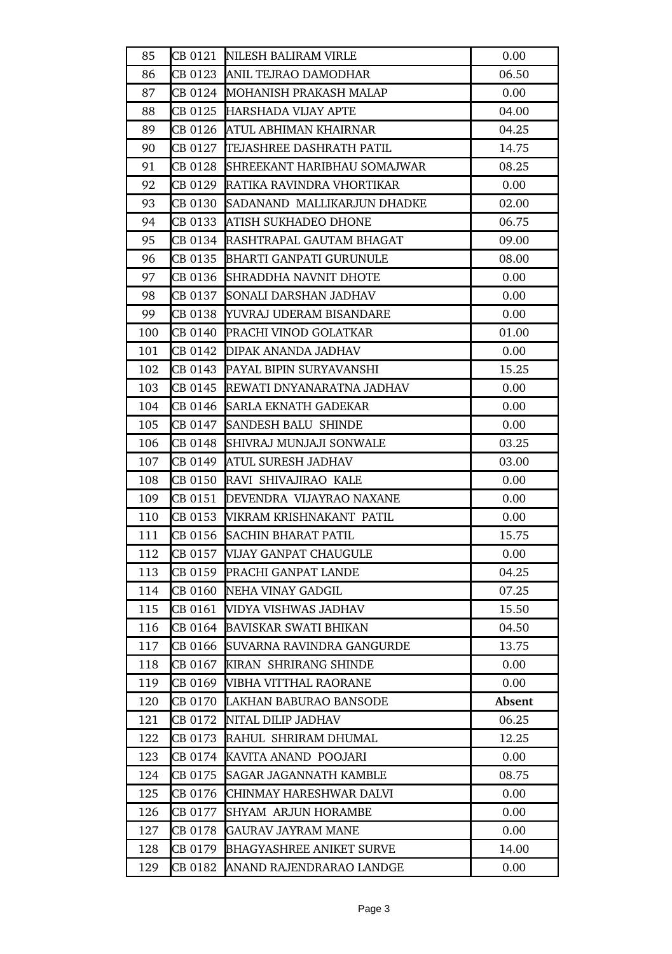| 85  |         | CB 0121 NILESH BALIRAM VIRLE        | 0.00   |
|-----|---------|-------------------------------------|--------|
| 86  |         | CB 0123 ANIL TEJRAO DAMODHAR        | 06.50  |
| 87  |         | CB 0124 MOHANISH PRAKASH MALAP      | 0.00   |
| 88  | CB 0125 | <b>HARSHADA VIJAY APTE</b>          | 04.00  |
| 89  |         | CB 0126 ATUL ABHIMAN KHAIRNAR       | 04.25  |
| 90  |         | CB 0127 TEJASHREE DASHRATH PATIL    | 14.75  |
| 91  |         | CB 0128 SHREEKANT HARIBHAU SOMAJWAR | 08.25  |
| 92  | CB 0129 | <b>RATIKA RAVINDRA VHORTIKAR</b>    | 0.00   |
| 93  | CB 0130 | SADANAND MALLIKARJUN DHADKE         | 02.00  |
| 94  | CB 0133 | <b>ATISH SUKHADEO DHONE</b>         | 06.75  |
| 95  |         | CB 0134 RASHTRAPAL GAUTAM BHAGAT    | 09.00  |
| 96  |         | CB 0135 BHARTI GANPATI GURUNULE     | 08.00  |
| 97  | CB 0136 | SHRADDHA NAVNIT DHOTE               | 0.00   |
| 98  | CB 0137 | SONALI DARSHAN JADHAV               | 0.00   |
| 99  | CB 0138 | <b>YUVRAJ UDERAM BISANDARE</b>      | 0.00   |
| 100 |         | CB 0140 PRACHI VINOD GOLATKAR       | 01.00  |
| 101 | CB 0142 | <b>DIPAK ANANDA JADHAV</b>          | 0.00   |
| 102 |         | CB 0143 PAYAL BIPIN SURYAVANSHI     | 15.25  |
| 103 |         | CB 0145 REWATI DNYANARATNA JADHAV   | 0.00   |
| 104 |         | CB 0146 SARLA EKNATH GADEKAR        | 0.00   |
| 105 |         | CB 0147 SANDESH BALU SHINDE         | 0.00   |
| 106 | CB 0148 | SHIVRAJ MUNJAJI SONWALE             | 03.25  |
| 107 |         | CB 0149 ATUL SURESH JADHAV          | 03.00  |
| 108 |         | CB 0150 RAVI SHIVAJIRAO KALE        | 0.00   |
| 109 |         | CB 0151 DEVENDRA VIJAYRAO NAXANE    | 0.00   |
| 110 |         | CB 0153 WIKRAM KRISHNAKANT PATIL    | 0.00   |
| 111 |         | CB 0156 SACHIN BHARAT PATIL         | 15.75  |
| 112 | CB 0157 | <b>VIJAY GANPAT CHAUGULE</b>        | 0.00   |
| 113 | CB 0159 | <b>PRACHI GANPAT LANDE</b>          | 04.25  |
| 114 |         | CB 0160 NEHA VINAY GADGIL           | 07.25  |
| 115 | CB 0161 | VIDYA VISHWAS JADHAV                | 15.50  |
| 116 | CB 0164 | <b>BAVISKAR SWATI BHIKAN</b>        | 04.50  |
| 117 | CB 0166 | <b>SUVARNA RAVINDRA GANGURDE</b>    | 13.75  |
| 118 | CB 0167 | KIRAN SHRIRANG SHINDE               | 0.00   |
| 119 |         | CB 0169   VIBHA VITTHAL RAORANE     | 0.00   |
| 120 |         | CB 0170 LAKHAN BABURAO BANSODE      | Absent |
| 121 | CB 0172 | NITAL DILIP JADHAV                  | 06.25  |
| 122 | CB 0173 | RAHUL SHRIRAM DHUMAL                | 12.25  |
| 123 |         | CB 0174 KAVITA ANAND POOJARI        | 0.00   |
| 124 | CB 0175 | <b>SAGAR JAGANNATH KAMBLE</b>       | 08.75  |
| 125 | CB 0176 | CHINMAY HARESHWAR DALVI             | 0.00   |
| 126 | CB 0177 | <b>SHYAM ARJUN HORAMBE</b>          | 0.00   |
| 127 | CB 0178 | <b>GAURAV JAYRAM MANE</b>           | 0.00   |
| 128 | CB 0179 | <b>BHAGYASHREE ANIKET SURVE</b>     | 14.00  |
| 129 | CB 0182 | ANAND RAJENDRARAO LANDGE            | 0.00   |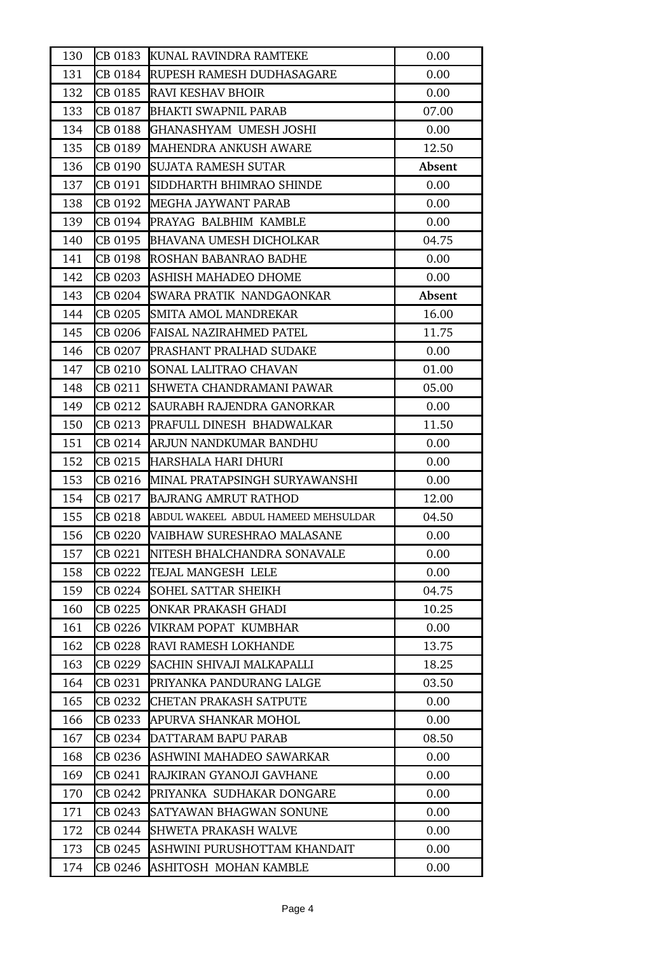| 130 | CB 0183 | KUNAL RAVINDRA RAMTEKE                      | 0.00   |
|-----|---------|---------------------------------------------|--------|
| 131 |         | CB 0184 RUPESH RAMESH DUDHASAGARE           | 0.00   |
| 132 |         | CB 0185 RAVI KESHAV BHOIR                   | 0.00   |
| 133 | CB 0187 | <b>BHAKTI SWAPNIL PARAB</b>                 | 07.00  |
| 134 | CB 0188 | GHANASHYAM UMESH JOSHI                      | 0.00   |
| 135 | CB 0189 | <b>MAHENDRA ANKUSH AWARE</b>                | 12.50  |
| 136 |         | CB 0190 SUJATA RAMESH SUTAR                 | Absent |
| 137 | CB 0191 | SIDDHARTH BHIMRAO SHINDE                    | 0.00   |
| 138 |         | CB 0192 MEGHA JAYWANT PARAB                 | 0.00   |
| 139 |         | CB 0194 PRAYAG BALBHIM KAMBLE               | 0.00   |
| 140 | CB 0195 | <b>BHAVANA UMESH DICHOLKAR</b>              | 04.75  |
| 141 |         | CB 0198 ROSHAN BABANRAO BADHE               | 0.00   |
| 142 | CB 0203 | ASHISH MAHADEO DHOME                        | 0.00   |
| 143 | CB 0204 | <b>SWARA PRATIK NANDGAONKAR</b>             | Absent |
| 144 | CB 0205 | <b>SMITA AMOL MANDREKAR</b>                 | 16.00  |
| 145 | CB 0206 | <b>FAISAL NAZIRAHMED PATEL</b>              | 11.75  |
| 146 | CB 0207 | <b>IPRASHANT PRALHAD SUDAKE</b>             | 0.00   |
| 147 | CB 0210 | SONAL LALITRAO CHAVAN                       | 01.00  |
| 148 | CB 0211 | SHWETA CHANDRAMANI PAWAR                    | 05.00  |
| 149 | CB 0212 | SAURABH RAJENDRA GANORKAR                   | 0.00   |
| 150 |         | CB 0213 PRAFULL DINESH BHADWALKAR           | 11.50  |
| 151 | CB 0214 | ARJUN NANDKUMAR BANDHU                      | 0.00   |
| 152 | CB 0215 | HARSHALA HARI DHURI                         | 0.00   |
| 153 | CB 0216 | MINAL PRATAPSINGH SURYAWANSHI               | 0.00   |
| 154 | CB 0217 | <b>BAJRANG AMRUT RATHOD</b>                 | 12.00  |
| 155 |         | CB 0218 ABDUL WAKEEL ABDUL HAMEED MEHSULDAR | 04.50  |
| 156 |         | CB 0220 VAIBHAW SURESHRAO MALASANE          | 0.00   |
| 157 | CB 0221 | NITESH BHALCHANDRA SONAVALE                 | 0.00   |
| 158 | CB 0222 | TEJAL MANGESH LELE                          | 0.00   |
| 159 | CB 0224 | <b>SOHEL SATTAR SHEIKH</b>                  | 04.75  |
| 160 | CB 0225 | ONKAR PRAKASH GHADI                         | 10.25  |
| 161 | CB 0226 | VIKRAM POPAT KUMBHAR                        | 0.00   |
| 162 | CB 0228 | <b>RAVI RAMESH LOKHANDE</b>                 | 13.75  |
| 163 | CB 0229 | SACHIN SHIVAJI MALKAPALLI                   | 18.25  |
| 164 | CB 0231 | PRIYANKA PANDURANG LALGE                    | 03.50  |
| 165 | CB 0232 | CHETAN PRAKASH SATPUTE                      | 0.00   |
| 166 | CB 0233 | APURVA SHANKAR MOHOL                        | 0.00   |
| 167 | CB 0234 | DATTARAM BAPU PARAB                         | 08.50  |
| 168 | CB 0236 | ASHWINI MAHADEO SAWARKAR                    | 0.00   |
| 169 | CB 0241 | RAJKIRAN GYANOJI GAVHANE                    | 0.00   |
| 170 | CB 0242 | PRIYANKA SUDHAKAR DONGARE                   | 0.00   |
| 171 | CB 0243 | SATYAWAN BHAGWAN SONUNE                     | 0.00   |
| 172 | CB 0244 | <b>SHWETA PRAKASH WALVE</b>                 | 0.00   |
| 173 | CB 0245 | ASHWINI PURUSHOTTAM KHANDAIT                | 0.00   |
| 174 | CB 0246 | ASHITOSH MOHAN KAMBLE                       | 0.00   |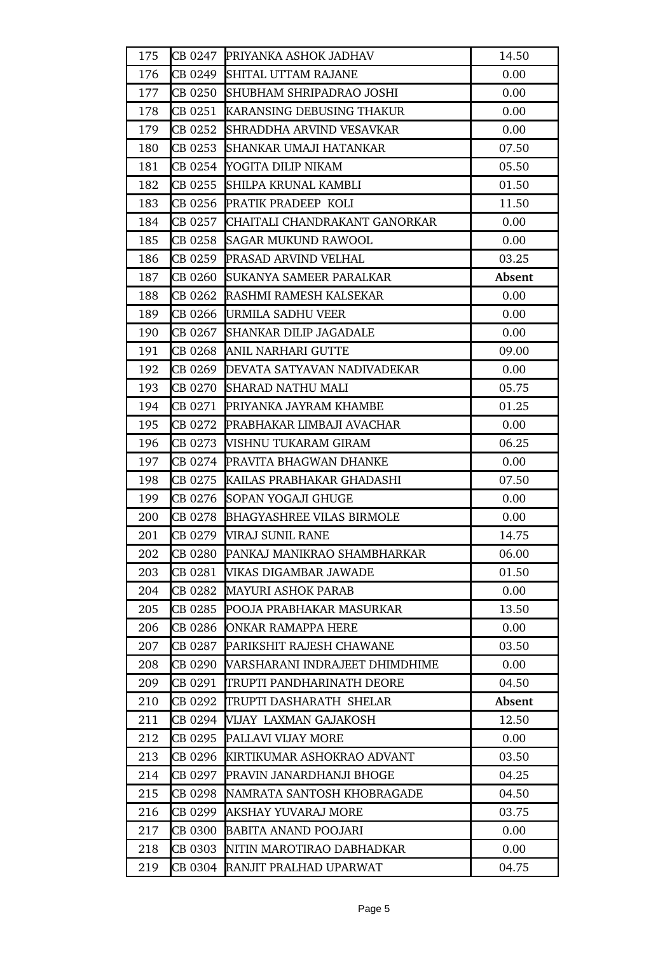| 175 |         | CB 0247 PRIYANKA ASHOK JADHAV         | 14.50  |
|-----|---------|---------------------------------------|--------|
| 176 |         | CB 0249 SHITAL UTTAM RAJANE           | 0.00   |
| 177 |         | CB 0250 SHUBHAM SHRIPADRAO JOSHI      | 0.00   |
| 178 |         | CB 0251 KARANSING DEBUSING THAKUR     | 0.00   |
| 179 | CB 0252 | SHRADDHA ARVIND VESAVKAR              | 0.00   |
| 180 | CB 0253 | SHANKAR UMAJI HATANKAR                | 07.50  |
| 181 | CB 0254 | YOGITA DILIP NIKAM                    | 05.50  |
| 182 | CB 0255 | SHILPA KRUNAL KAMBLI                  | 01.50  |
| 183 | CB 0256 | PRATIK PRADEEP KOLI                   | 11.50  |
| 184 |         | CB 0257 CHAITALI CHANDRAKANT GANORKAR | 0.00   |
| 185 |         | CB 0258 SAGAR MUKUND RAWOOL           | 0.00   |
| 186 |         | CB 0259 PRASAD ARVIND VELHAL          | 03.25  |
| 187 |         | CB 0260 SUKANYA SAMEER PARALKAR       | Absent |
| 188 | CB 0262 | RASHMI RAMESH KALSEKAR                | 0.00   |
| 189 | CB 0266 | URMILA SADHU VEER                     | 0.00   |
| 190 | CB 0267 | <b>SHANKAR DILIP JAGADALE</b>         | 0.00   |
| 191 | CB 0268 | ANIL NARHARI GUTTE                    | 09.00  |
| 192 |         | CB 0269 DEVATA SATYAVAN NADIVADEKAR   | 0.00   |
| 193 |         | CB 0270 SHARAD NATHU MALI             | 05.75  |
| 194 |         | CB 0271 PRIYANKA JAYRAM KHAMBE        | 01.25  |
| 195 |         | CB 0272 PRABHAKAR LIMBAJI AVACHAR     | 0.00   |
| 196 | CB 0273 | <b>VISHNU TUKARAM GIRAM</b>           | 06.25  |
| 197 |         | CB 0274 PRAVITA BHAGWAN DHANKE        | 0.00   |
| 198 | CB 0275 | KAILAS PRABHAKAR GHADASHI             | 07.50  |
| 199 |         | CB 0276 SOPAN YOGAJI GHUGE            | 0.00   |
| 200 |         | CB 0278 BHAGYASHREE VILAS BIRMOLE     | 0.00   |
| 201 |         | CB 0279 VIRAJ SUNIL RANE              | 14.75  |
| 202 | CB 0280 | PANKAJ MANIKRAO SHAMBHARKAR           | 06.00  |
| 203 | CB 0281 | VIKAS DIGAMBAR JAWADE                 | 01.50  |
| 204 | CB 0282 | MAYURI ASHOK PARAB                    | 0.00   |
| 205 | CB 0285 | POOJA PRABHAKAR MASURKAR              | 13.50  |
| 206 | CB 0286 | ONKAR RAMAPPA HERE                    | 0.00   |
| 207 | CB 0287 | PARIKSHIT RAJESH CHAWANE              | 03.50  |
| 208 | CB 0290 | VARSHARANI INDRAJEET DHIMDHIME        | 0.00   |
| 209 | CB 0291 | ITRUPTI PANDHARINATH DEORE            | 04.50  |
| 210 | CB 0292 | ITRUPTI DASHARATH  SHELAR             | Absent |
| 211 | CB 0294 | VIJAY LAXMAN GAJAKOSH                 | 12.50  |
| 212 | CB 0295 | PALLAVI VIJAY MORE                    | 0.00   |
| 213 |         | CB 0296 KIRTIKUMAR ASHOKRAO ADVANT    | 03.50  |
| 214 | CB 0297 | PRAVIN JANARDHANJI BHOGE              | 04.25  |
| 215 | CB 0298 | NAMRATA SANTOSH KHOBRAGADE            | 04.50  |
| 216 | CB 0299 | AKSHAY YUVARAJ MORE                   | 03.75  |
| 217 | CB 0300 | <b>BABITA ANAND POOJARI</b>           | 0.00   |
| 218 | CB 0303 | NITIN MAROTIRAO DABHADKAR             | 0.00   |
| 219 | CB 0304 | RANJIT PRALHAD UPARWAT                | 04.75  |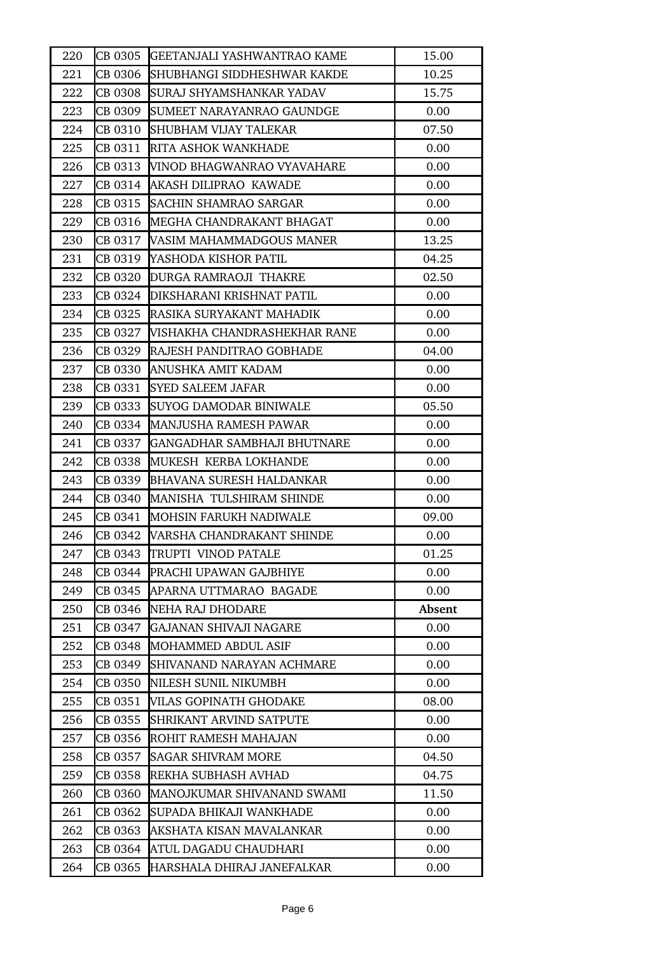| 220 | CB 0305 | <b>GEETANJALI YASHWANTRAO KAME</b>  | 15.00  |
|-----|---------|-------------------------------------|--------|
| 221 | CB 0306 | SHUBHANGI SIDDHESHWAR KAKDE         | 10.25  |
| 222 | CB 0308 | SURAJ SHYAMSHANKAR YADAV            | 15.75  |
| 223 | CB 0309 | SUMEET NARAYANRAO GAUNDGE           | 0.00   |
| 224 |         | CB 0310 SHUBHAM VIJAY TALEKAR       | 07.50  |
| 225 | CB 0311 | <b>RITA ASHOK WANKHADE</b>          | 0.00   |
| 226 |         | CB 0313  VINOD BHAGWANRAO VYAVAHARE | 0.00   |
| 227 | CB 0314 | AKASH DILIPRAO KAWADE               | 0.00   |
| 228 | CB 0315 | <b>SACHIN SHAMRAO SARGAR</b>        | 0.00   |
| 229 | CB 0316 | MEGHA CHANDRAKANT BHAGAT            | 0.00   |
| 230 |         | CB 0317 VASIM MAHAMMADGOUS MANER    | 13.25  |
| 231 |         | CB 0319 YASHODA KISHOR PATIL        | 04.25  |
| 232 |         | CB 0320 DURGA RAMRAOJI THAKRE       | 02.50  |
| 233 |         | ICB 0324 DIKSHARANI KRISHNAT PATIL  | 0.00   |
| 234 | CB 0325 | RASIKA SURYAKANT MAHADIK            | 0.00   |
| 235 | CB 0327 | <b>NISHAKHA CHANDRASHEKHAR RANE</b> | 0.00   |
| 236 |         | CB 0329 RAJESH PANDITRAO GOBHADE    | 04.00  |
| 237 | CB 0330 | ANUSHKA AMIT KADAM                  | 0.00   |
| 238 | CB 0331 | <b>SYED SALEEM JAFAR</b>            | 0.00   |
| 239 | CB 0333 | <b>SUYOG DAMODAR BINIWALE</b>       | 05.50  |
| 240 |         | CB 0334 MANJUSHA RAMESH PAWAR       | 0.00   |
| 241 | CB 0337 | GANGADHAR SAMBHAJI BHUTNARE         | 0.00   |
| 242 | CB 0338 | MUKESH KERBA LOKHANDE               | 0.00   |
| 243 | CB 0339 | <b>BHAVANA SURESH HALDANKAR</b>     | 0.00   |
| 244 |         | CB 0340 MANISHA TULSHIRAM SHINDE    | 0.00   |
| 245 |         | CB 0341 MOHSIN FARUKH NADIWALE      | 09.00  |
| 246 |         | CB 0342 VARSHA CHANDRAKANT SHINDE   | 0.00   |
| 247 | CB 0343 | <b>TRUPTI VINOD PATALE</b>          | 01.25  |
| 248 | CB 0344 | PRACHI UPAWAN GAJBHIYE              | 0.00   |
| 249 | CB 0345 | APARNA UTTMARAO BAGADE              | 0.00   |
| 250 | CB 0346 | NEHA RAJ DHODARE                    | Absent |
| 251 | CB 0347 | GAJANAN SHIVAJI NAGARE              | 0.00   |
| 252 | CB 0348 | MOHAMMED ABDUL ASIF                 | 0.00   |
| 253 | CB 0349 | SHIVANAND NARAYAN ACHMARE           | 0.00   |
| 254 | CB 0350 | NILESH SUNIL NIKUMBH                | 0.00   |
| 255 | CB 0351 | VILAS GOPINATH GHODAKE              | 08.00  |
| 256 | CB 0355 | <b>SHRIKANT ARVIND SATPUTE</b>      | 0.00   |
| 257 | CB 0356 | ROHIT RAMESH MAHAJAN                | 0.00   |
| 258 | CB 0357 | <b>SAGAR SHIVRAM MORE</b>           | 04.50  |
| 259 | CB 0358 | REKHA SUBHASH AVHAD                 | 04.75  |
| 260 | CB 0360 | MANOJKUMAR SHIVANAND SWAMI          | 11.50  |
| 261 | CB 0362 | SUPADA BHIKAJI WANKHADE             | 0.00   |
| 262 | CB 0363 | AKSHATA KISAN MAVALANKAR            | 0.00   |
| 263 | CB 0364 | ATUL DAGADU CHAUDHARI               | 0.00   |
| 264 | CB 0365 | HARSHALA DHIRAJ JANEFALKAR          | 0.00   |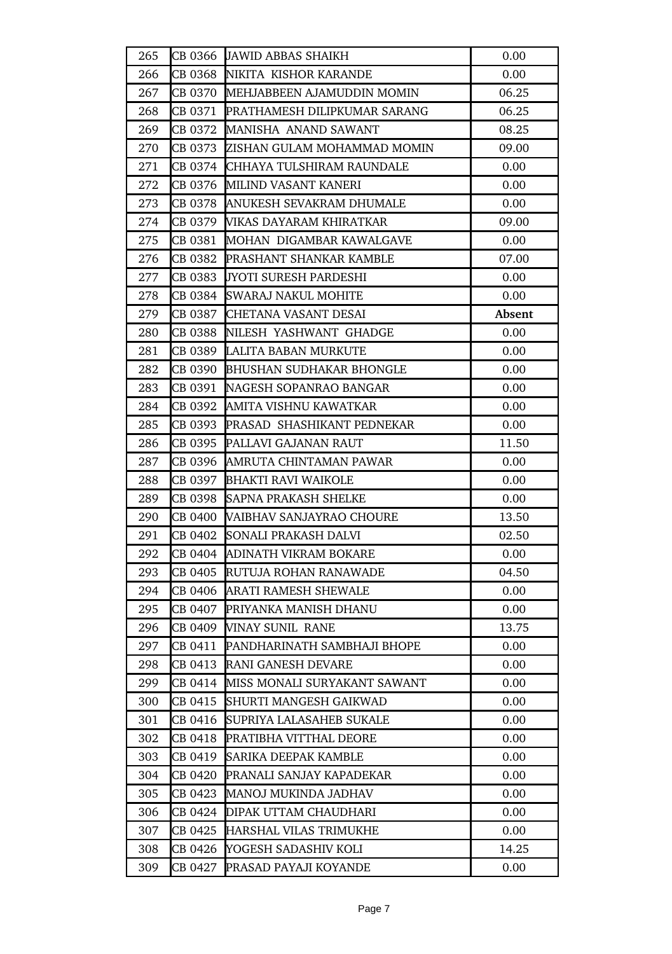| 265 |         | CB 0366 JAWID ABBAS SHAIKH           | 0.00   |
|-----|---------|--------------------------------------|--------|
| 266 |         | CB 0368 INIKITA KISHOR KARANDE       | 0.00   |
| 267 |         | CB 0370 MEHJABBEEN AJAMUDDIN MOMIN   | 06.25  |
| 268 |         | CB 0371 PRATHAMESH DILIPKUMAR SARANG | 06.25  |
| 269 |         | CB 0372 MANISHA ANAND SAWANT         | 08.25  |
| 270 | CB 0373 | <b>ZISHAN GULAM MOHAMMAD MOMIN</b>   | 09.00  |
| 271 |         | CB 0374 CHHAYA TULSHIRAM RAUNDALE    | 0.00   |
| 272 | CB 0376 | MILIND VASANT KANERI                 | 0.00   |
| 273 |         | CB 0378 ANUKESH SEVAKRAM DHUMALE     | 0.00   |
| 274 |         | CB 0379 WIKAS DAYARAM KHIRATKAR      | 09.00  |
| 275 |         | CB 0381 MOHAN DIGAMBAR KAWALGAVE     | 0.00   |
| 276 | CB 0382 | <b>PRASHANT SHANKAR KAMBLE</b>       | 07.00  |
| 277 | CB 0383 | <b>JYOTI SURESH PARDESHI</b>         | 0.00   |
| 278 | CB 0384 | <b>SWARAJ NAKUL MOHITE</b>           | 0.00   |
| 279 |         | CB 0387 CHETANA VASANT DESAI         | Absent |
| 280 |         | CB 0388 NILESH YASHWANT GHADGE       | 0.00   |
| 281 |         | CB 0389 LALITA BABAN MURKUTE         | 0.00   |
| 282 |         | CB 0390 BHUSHAN SUDHAKAR BHONGLE     | 0.00   |
| 283 |         | CB 0391 NAGESH SOPANRAO BANGAR       | 0.00   |
| 284 | CB 0392 | AMITA VISHNU KAWATKAR                | 0.00   |
| 285 |         | CB 0393 PRASAD SHASHIKANT PEDNEKAR   | 0.00   |
| 286 | CB 0395 | PALLAVI GAJANAN RAUT                 | 11.50  |
| 287 | CB 0396 | AMRUTA CHINTAMAN PAWAR               | 0.00   |
| 288 |         | CB 0397 BHAKTI RAVI WAIKOLE          | 0.00   |
| 289 |         | CB 0398 SAPNA PRAKASH SHELKE         | 0.00   |
| 290 |         | CB 0400 VAIBHAV SANJAYRAO CHOURE     | 13.50  |
| 291 | CB 0402 | SONALI PRAKASH DALVI                 | 02.50  |
| 292 | CB 0404 | ADINATH VIKRAM BOKARE                | 0.00   |
| 293 | CB 0405 | RUTUJA ROHAN RANAWADE                | 04.50  |
| 294 |         | CB 0406 ARATI RAMESH SHEWALE         | 0.00   |
| 295 | CB 0407 | PRIYANKA MANISH DHANU                | 0.00   |
| 296 | CB 0409 | VINAY SUNIL RANE                     | 13.75  |
| 297 | CB 0411 | PANDHARINATH SAMBHAJI BHOPE          | 0.00   |
| 298 | CB 0413 | RANI GANESH DEVARE                   | 0.00   |
| 299 | CB 0414 | MISS MONALI SURYAKANT SAWANT         | 0.00   |
| 300 | CB 0415 | SHURTI MANGESH GAIKWAD               | 0.00   |
| 301 | CB 0416 | SUPRIYA LALASAHEB SUKALE             | 0.00   |
| 302 | CB 0418 | PRATIBHA VITTHAL DEORE               | 0.00   |
| 303 | CB 0419 | <b>SARIKA DEEPAK KAMBLE</b>          | 0.00   |
| 304 | CB 0420 | PRANALI SANJAY KAPADEKAR             | 0.00   |
| 305 | CB 0423 | MANOJ MUKINDA JADHAV                 | 0.00   |
| 306 | CB 0424 | <b>DIPAK UTTAM CHAUDHARI</b>         | 0.00   |
| 307 | CB 0425 | <b>HARSHAL VILAS TRIMUKHE</b>        | 0.00   |
| 308 | CB 0426 | YOGESH SADASHIV KOLI                 | 14.25  |
| 309 | CB 0427 | PRASAD PAYAJI KOYANDE                | 0.00   |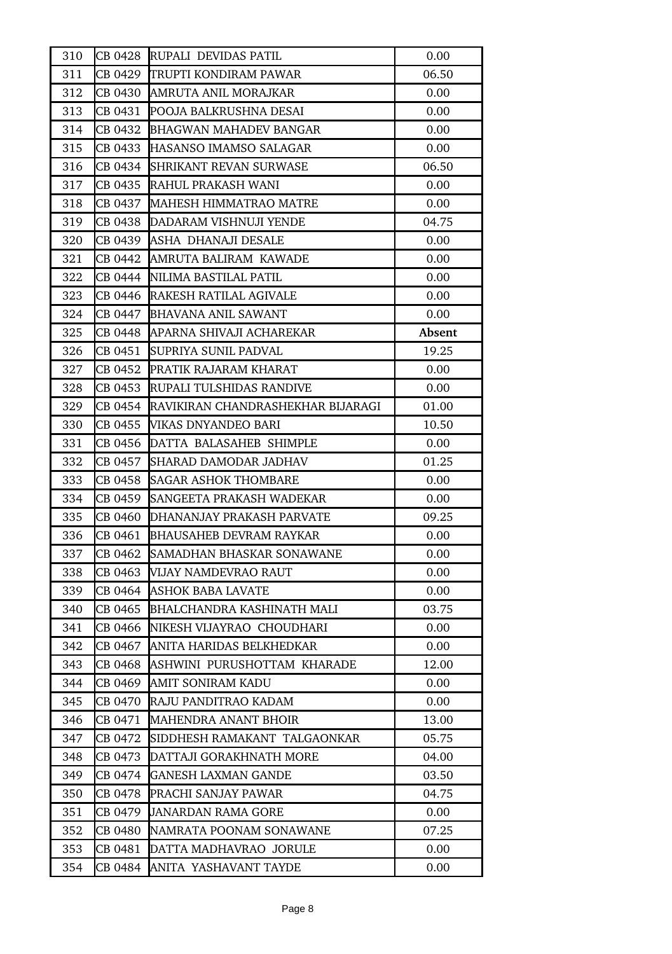| 310 | CB 0428 | RUPALI DEVIDAS PATIL              | 0.00   |
|-----|---------|-----------------------------------|--------|
| 311 |         | CB 0429 TRUPTI KONDIRAM PAWAR     | 06.50  |
| 312 |         | CB 0430  AMRUTA ANIL MORAJKAR     | 0.00   |
| 313 | CB 0431 | POOJA BALKRUSHNA DESAI            | 0.00   |
| 314 | CB 0432 | BHAGWAN MAHADEV BANGAR            | 0.00   |
| 315 | CB 0433 | <b>HASANSO IMAMSO SALAGAR</b>     | 0.00   |
| 316 |         | CB 0434 SHRIKANT REVAN SURWASE    | 06.50  |
| 317 |         | CB 0435 RAHUL PRAKASH WANI        | 0.00   |
| 318 |         | CB 0437 MAHESH HIMMATRAO MATRE    | 0.00   |
| 319 | CB 0438 | DADARAM VISHNUJI YENDE            | 04.75  |
| 320 |         | CB 0439 ASHA DHANAJI DESALE       | 0.00   |
| 321 |         | CB 0442  AMRUTA BALIRAM KAWADE    | 0.00   |
| 322 | CB 0444 | NILIMA BASTILAL PATIL             | 0.00   |
| 323 |         | CB 0446 RAKESH RATILAL AGIVALE    | 0.00   |
| 324 | CB 0447 | <b>BHAVANA ANIL SAWANT</b>        | 0.00   |
| 325 |         | CB 0448 APARNA SHIVAJI ACHAREKAR  | Absent |
| 326 | CB 0451 | SUPRIYA SUNIL PADVAL              | 19.25  |
| 327 | CB 0452 | <b>PRATIK RAJARAM KHARAT</b>      | 0.00   |
| 328 | CB 0453 | RUPALI TULSHIDAS RANDIVE          | 0.00   |
| 329 | CB 0454 | RAVIKIRAN CHANDRASHEKHAR BIJARAGI | 01.00  |
| 330 | CB 0455 | <b>VIKAS DNYANDEO BARI</b>        | 10.50  |
| 331 | CB 0456 | DATTA BALASAHEB SHIMPLE           | 0.00   |
| 332 | CB 0457 | SHARAD DAMODAR JADHAV             | 01.25  |
| 333 | CB 0458 | <b>SAGAR ASHOK THOMBARE</b>       | 0.00   |
| 334 | CB 0459 | SANGEETA PRAKASH WADEKAR          | 0.00   |
| 335 |         | CB 0460 DHANANJAY PRAKASH PARVATE | 09.25  |
| 336 | CB 0461 | <b>BHAUSAHEB DEVRAM RAYKAR</b>    | 0.00   |
| 337 | CB 0462 | SAMADHAN BHASKAR SONAWANE         | 0.00   |
| 338 | CB 0463 | VIJAY NAMDEVRAO RAUT              | 0.00   |
| 339 |         | CB 0464 ASHOK BABA LAVATE         | 0.00   |
| 340 | CB 0465 | <b>BHALCHANDRA KASHINATH MALI</b> | 03.75  |
| 341 | CB 0466 | NIKESH VIJAYRAO CHOUDHARI         | 0.00   |
| 342 | CB 0467 | ANITA HARIDAS BELKHEDKAR          | 0.00   |
| 343 | CB 0468 | ASHWINI PURUSHOTTAM KHARADE       | 12.00  |
| 344 | CB 0469 | <b>AMIT SONIRAM KADU</b>          | 0.00   |
| 345 | CB 0470 | RAJU PANDITRAO KADAM              | 0.00   |
| 346 | CB 0471 | MAHENDRA ANANT BHOIR              | 13.00  |
| 347 | CB 0472 | SIDDHESH RAMAKANT TALGAONKAR      | 05.75  |
| 348 | CB 0473 | DATTAJI GORAKHNATH MORE           | 04.00  |
| 349 | CB 0474 | <b>GANESH LAXMAN GANDE</b>        | 03.50  |
| 350 | CB 0478 | PRACHI SANJAY PAWAR               | 04.75  |
| 351 | CB 0479 | <b>JANARDAN RAMA GORE</b>         | 0.00   |
| 352 | CB 0480 | NAMRATA POONAM SONAWANE           | 07.25  |
| 353 | CB 0481 | DATTA MADHAVRAO JORULE            | 0.00   |
| 354 | CB 0484 | ANITA YASHAVANT TAYDE             | 0.00   |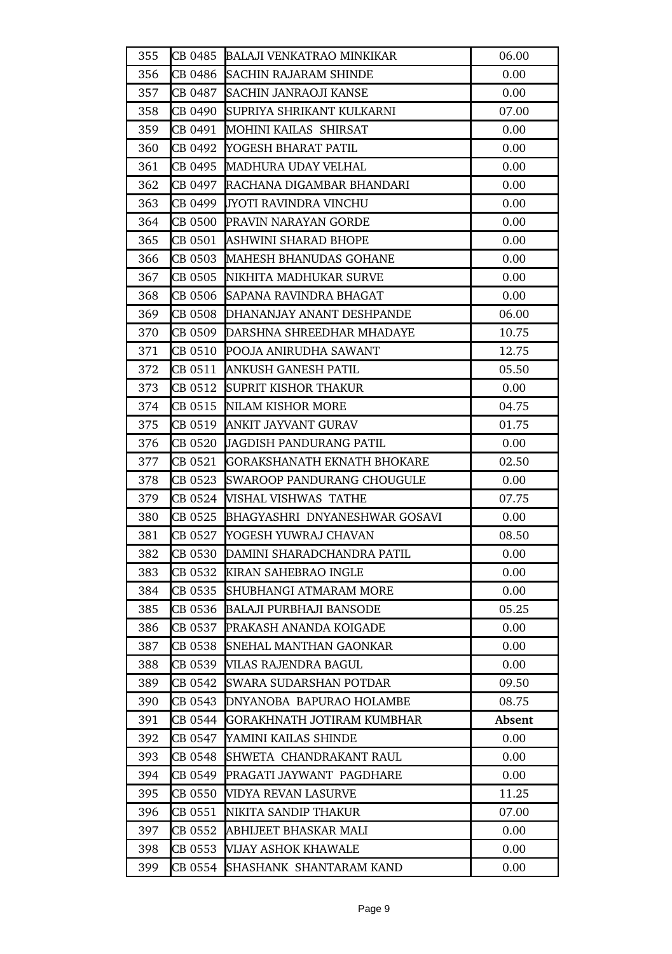| 355 | CB 0485 | <b>BALAJI VENKATRAO MINKIKAR</b>      | 06.00  |
|-----|---------|---------------------------------------|--------|
| 356 | CB 0486 | <b>SACHIN RAJARAM SHINDE</b>          | 0.00   |
| 357 | CB 0487 | SACHIN JANRAOJI KANSE                 | 0.00   |
| 358 | CB 0490 | SUPRIYA SHRIKANT KULKARNI             | 07.00  |
| 359 | CB 0491 | MOHINI KAILAS SHIRSAT                 | 0.00   |
| 360 | CB 0492 | YOGESH BHARAT PATIL                   | 0.00   |
| 361 |         | CB 0495 MADHURA UDAY VELHAL           | 0.00   |
| 362 | CB 0497 | <b>RACHANA DIGAMBAR BHANDARI</b>      | 0.00   |
| 363 | CB 0499 | <b>JYOTI RAVINDRA VINCHU</b>          | 0.00   |
| 364 |         | CB 0500 PRAVIN NARAYAN GORDE          | 0.00   |
| 365 |         | CB 0501  ASHWINI SHARAD BHOPE         | 0.00   |
| 366 |         | CB 0503 MAHESH BHANUDAS GOHANE        | 0.00   |
| 367 | CB 0505 | NIKHITA MADHUKAR SURVE                | 0.00   |
| 368 | CB 0506 | SAPANA RAVINDRA BHAGAT                | 0.00   |
| 369 |         | CB 0508 DHANANJAY ANANT DESHPANDE     | 06.00  |
| 370 |         | ICB 0509  IDARSHNA SHREEDHAR MHADAYE  | 10.75  |
| 371 |         | ICB 0510  IPOOJA ANIRUDHA SAWANT      | 12.75  |
| 372 | CB 0511 | ANKUSH GANESH PATIL                   | 05.50  |
| 373 | CB 0512 | <b>SUPRIT KISHOR THAKUR</b>           | 0.00   |
| 374 |         | CB 0515 NILAM KISHOR MORE             | 04.75  |
| 375 |         | CB 0519 ANKIT JAYVANT GURAV           | 01.75  |
| 376 | CB 0520 | <b>JAGDISH PANDURANG PATIL</b>        | 0.00   |
| 377 | CB 0521 | GORAKSHANATH EKNATH BHOKARE           | 02.50  |
| 378 | CB 0523 | <b>SWAROOP PANDURANG CHOUGULE</b>     | 0.00   |
| 379 |         | CB 0524 WISHAL VISHWAS TATHE          | 07.75  |
| 380 |         | CB 0525 BHAGYASHRI DNYANESHWAR GOSAVI | 0.00   |
| 381 |         | CB 0527 YOGESH YUWRAJ CHAVAN          | 08.50  |
| 382 | CB 0530 | DAMINI SHARADCHANDRA PATIL            | 0.00   |
| 383 | CB 0532 | KIRAN SAHEBRAO INGLE                  | 0.00   |
| 384 | CB 0535 | <b>SHUBHANGI ATMARAM MORE</b>         | 0.00   |
| 385 | CB 0536 | <b>BALAJI PURBHAJI BANSODE</b>        | 05.25  |
| 386 | CB 0537 | PRAKASH ANANDA KOIGADE                | 0.00   |
| 387 | CB 0538 | <b>SNEHAL MANTHAN GAONKAR</b>         | 0.00   |
| 388 | CB 0539 | <b>VILAS RAJENDRA BAGUL</b>           | 0.00   |
| 389 | CB 0542 | SWARA SUDARSHAN POTDAR                | 09.50  |
| 390 | CB 0543 | <b>DNYANOBA BAPURAO HOLAMBE</b>       | 08.75  |
| 391 | CB 0544 | GORAKHNATH JOTIRAM KUMBHAR            | Absent |
| 392 | CB 0547 | YAMINI KAILAS SHINDE                  | 0.00   |
| 393 | CB 0548 | SHWETA CHANDRAKANT RAUL               | 0.00   |
| 394 | CB 0549 | PRAGATI JAYWANT PAGDHARE              | 0.00   |
| 395 | CB 0550 | <b>NIDYA REVAN LASURVE</b>            | 11.25  |
| 396 | CB 0551 | NIKITA SANDIP THAKUR                  | 07.00  |
| 397 | CB 0552 | ABHIJEET BHASKAR MALI                 | 0.00   |
| 398 | CB 0553 | VIJAY ASHOK KHAWALE                   | 0.00   |
| 399 | CB 0554 | SHASHANK SHANTARAM KAND               | 0.00   |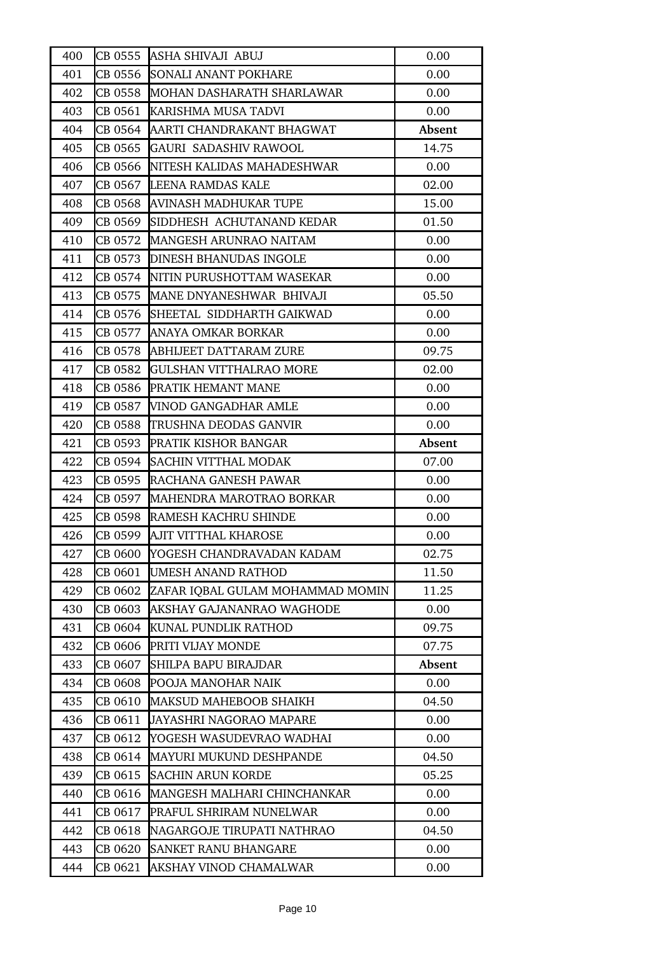| 400 |         | CB 0555 ASHA SHIVAJI ABUJ             | 0.00   |
|-----|---------|---------------------------------------|--------|
| 401 | CB 0556 | <b>SONALI ANANT POKHARE</b>           | 0.00   |
| 402 |         | CB 0558     MOHAN DASHARATH SHARLAWAR | 0.00   |
| 403 | CB 0561 | KARISHMA MUSA TADVI                   | 0.00   |
| 404 | CB 0564 | AARTI CHANDRAKANT BHAGWAT             | Absent |
| 405 | CB 0565 | GAURI SADASHIV RAWOOL                 | 14.75  |
| 406 |         | CB 0566 INITESH KALIDAS MAHADESHWAR   | 0.00   |
| 407 |         | CB 0567 LEENA RAMDAS KALE             | 02.00  |
| 408 | CB 0568 | <b>AVINASH MADHUKAR TUPE</b>          | 15.00  |
| 409 | CB 0569 | SIDDHESH ACHUTANAND KEDAR             | 01.50  |
| 410 | CB 0572 | MANGESH ARUNRAO NAITAM                | 0.00   |
| 411 |         | CB 0573 DINESH BHANUDAS INGOLE        | 0.00   |
| 412 |         | CB 0574 NITIN PURUSHOTTAM WASEKAR     | 0.00   |
| 413 |         | CB 0575 MANE DNYANESHWAR BHIVAJI      | 05.50  |
| 414 | CB 0576 | SHEETAL SIDDHARTH GAIKWAD             | 0.00   |
| 415 | CB 0577 | ANAYA OMKAR BORKAR                    | 0.00   |
| 416 |         | CB 0578 ABHIJEET DATTARAM ZURE        | 09.75  |
| 417 | CB 0582 | <b>GULSHAN VITTHALRAO MORE</b>        | 02.00  |
| 418 | CB 0586 | <b>PRATIK HEMANT MANE</b>             | 0.00   |
| 419 | CB 0587 | <b>VINOD GANGADHAR AMLE</b>           | 0.00   |
| 420 |         | CB 0588 TRUSHNA DEODAS GANVIR         | 0.00   |
| 421 | CB 0593 | <b>PRATIK KISHOR BANGAR</b>           | Absent |
| 422 | CB 0594 | <b>SACHIN VITTHAL MODAK</b>           | 07.00  |
| 423 | CB 0595 | <b>RACHANA GANESH PAWAR</b>           | 0.00   |
| 424 | CB 0597 | MAHENDRA MAROTRAO BORKAR              | 0.00   |
| 425 | CB 0598 | RAMESH KACHRU SHINDE                  | 0.00   |
| 426 | CB 0599 | <b>AJIT VITTHAL KHAROSE</b>           | 0.00   |
| 427 | CB 0600 | YOGESH CHANDRAVADAN KADAM             | 02.75  |
| 428 | CB 0601 | <b>UMESH ANAND RATHOD</b>             | 11.50  |
| 429 | CB 0602 | ZAFAR IQBAL GULAM MOHAMMAD MOMIN      | 11.25  |
| 430 | CB 0603 | AKSHAY GAJANANRAO WAGHODE             | 0.00   |
| 431 | CB 0604 | KUNAL PUNDLIK RATHOD                  | 09.75  |
| 432 | CB 0606 | PRITI VIJAY MONDE                     | 07.75  |
| 433 | CB 0607 | SHILPA BAPU BIRAJDAR                  | Absent |
| 434 | CB 0608 | POOJA MANOHAR NAIK                    | 0.00   |
| 435 | CB 0610 | MAKSUD MAHEBOOB SHAIKH                | 04.50  |
| 436 | CB 0611 | JAYASHRI NAGORAO MAPARE               | 0.00   |
| 437 | CB 0612 | YOGESH WASUDEVRAO WADHAI              | 0.00   |
| 438 | CB 0614 | MAYURI MUKUND DESHPANDE               | 04.50  |
| 439 | CB 0615 | <b>SACHIN ARUN KORDE</b>              | 05.25  |
| 440 | CB 0616 | MANGESH MALHARI CHINCHANKAR           | 0.00   |
| 441 | CB 0617 | PRAFUL SHRIRAM NUNELWAR               | 0.00   |
| 442 | CB 0618 | NAGARGOJE TIRUPATI NATHRAO            | 04.50  |
| 443 | CB 0620 | <b>SANKET RANU BHANGARE</b>           | 0.00   |
| 444 | CB 0621 | AKSHAY VINOD CHAMALWAR                | 0.00   |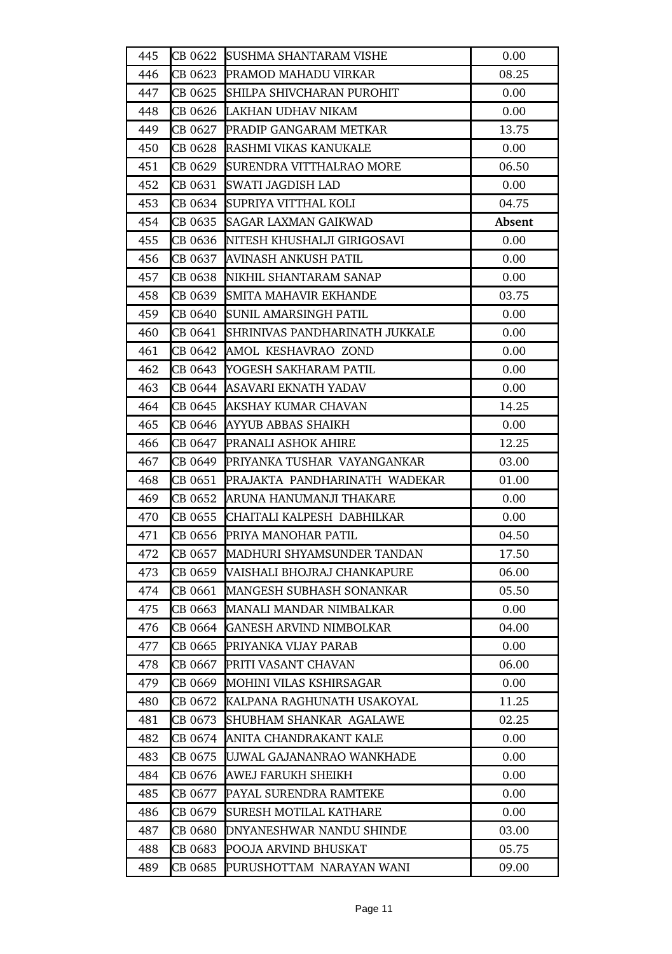| 445 |         | CB 0622 SUSHMA SHANTARAM VISHE         | 0.00   |
|-----|---------|----------------------------------------|--------|
| 446 |         | CB 0623 PRAMOD MAHADU VIRKAR           | 08.25  |
| 447 |         | CB 0625 SHILPA SHIVCHARAN PUROHIT      | 0.00   |
| 448 | CB 0626 | LAKHAN UDHAV NIKAM                     | 0.00   |
| 449 |         | CB 0627 PRADIP GANGARAM METKAR         | 13.75  |
| 450 |         | CB 0628 RASHMI VIKAS KANUKALE          | 0.00   |
| 451 |         | CB 0629  SURENDRA VITTHALRAO MORE      | 06.50  |
| 452 | CB 0631 | <b>SWATI JAGDISH LAD</b>               | 0.00   |
| 453 | CB 0634 | SUPRIYA VITTHAL KOLI                   | 04.75  |
| 454 | CB 0635 | <b>SAGAR LAXMAN GAIKWAD</b>            | Absent |
| 455 |         | CB 0636 NITESH KHUSHALJI GIRIGOSAVI    | 0.00   |
| 456 | CB 0637 | AVINASH ANKUSH PATIL                   | 0.00   |
| 457 |         | CB 0638 NIKHIL SHANTARAM SANAP         | 0.00   |
| 458 | CB 0639 | <b>SMITA MAHAVIR EKHANDE</b>           | 03.75  |
| 459 | CB 0640 | <b>SUNIL AMARSINGH PATIL</b>           | 0.00   |
| 460 |         | CB 0641 SHRINIVAS PANDHARINATH JUKKALE | 0.00   |
| 461 | CB 0642 | AMOL KESHAVRAO ZOND                    | 0.00   |
| 462 |         | CB 0643 YOGESH SAKHARAM PATIL          | 0.00   |
| 463 | CB 0644 | ASAVARI EKNATH YADAV                   | 0.00   |
| 464 |         | CB 0645 AKSHAY KUMAR CHAVAN            | 14.25  |
| 465 |         | CB 0646 AYYUB ABBAS SHAIKH             | 0.00   |
| 466 |         | CB 0647 PRANALI ASHOK AHIRE            | 12.25  |
| 467 |         | CB 0649 PRIYANKA TUSHAR VAYANGANKAR    | 03.00  |
| 468 | CB 0651 | PRAJAKTA PANDHARINATH WADEKAR          | 01.00  |
| 469 |         | CB 0652 ARUNA HANUMANJI THAKARE        | 0.00   |
| 470 |         | CB 0655  CHAITALI KALPESH DABHILKAR    | 0.00   |
| 471 |         | CB 0656 PRIYA MANOHAR PATIL            | 04.50  |
| 472 | CB 0657 | MADHURI SHYAMSUNDER TANDAN             | 17.50  |
| 473 | CB 0659 | VAISHALI BHOJRAJ CHANKAPURE            | 06.00  |
| 474 | CB 0661 | <b>MANGESH SUBHASH SONANKAR</b>        | 05.50  |
| 475 | CB 0663 | MANALI MANDAR NIMBALKAR                | 0.00   |
| 476 | CB 0664 | <b>GANESH ARVIND NIMBOLKAR</b>         | 04.00  |
| 477 | CB 0665 | PRIYANKA VIJAY PARAB                   | 0.00   |
| 478 | CB 0667 | PRITI VASANT CHAVAN                    | 06.00  |
| 479 | CB 0669 | <b>IMOHINI VILAS KSHIRSAGAR</b>        | 0.00   |
| 480 | CB 0672 | KALPANA RAGHUNATH USAKOYAL             | 11.25  |
| 481 | CB 0673 | SHUBHAM SHANKAR AGALAWE                | 02.25  |
| 482 | CB 0674 | ANITA CHANDRAKANT KALE                 | 0.00   |
| 483 | CB 0675 | UJWAL GAJANANRAO WANKHADE              | 0.00   |
| 484 | CB 0676 | AWEJ FARUKH SHEIKH                     | 0.00   |
| 485 | CB 0677 | PAYAL SURENDRA RAMTEKE                 | 0.00   |
| 486 | CB 0679 | <b>SURESH MOTILAL KATHARE</b>          | 0.00   |
| 487 | CB 0680 | DNYANESHWAR NANDU SHINDE               | 03.00  |
| 488 | CB 0683 | POOJA ARVIND BHUSKAT                   | 05.75  |
| 489 | CB 0685 | PURUSHOTTAM NARAYAN WANI               | 09.00  |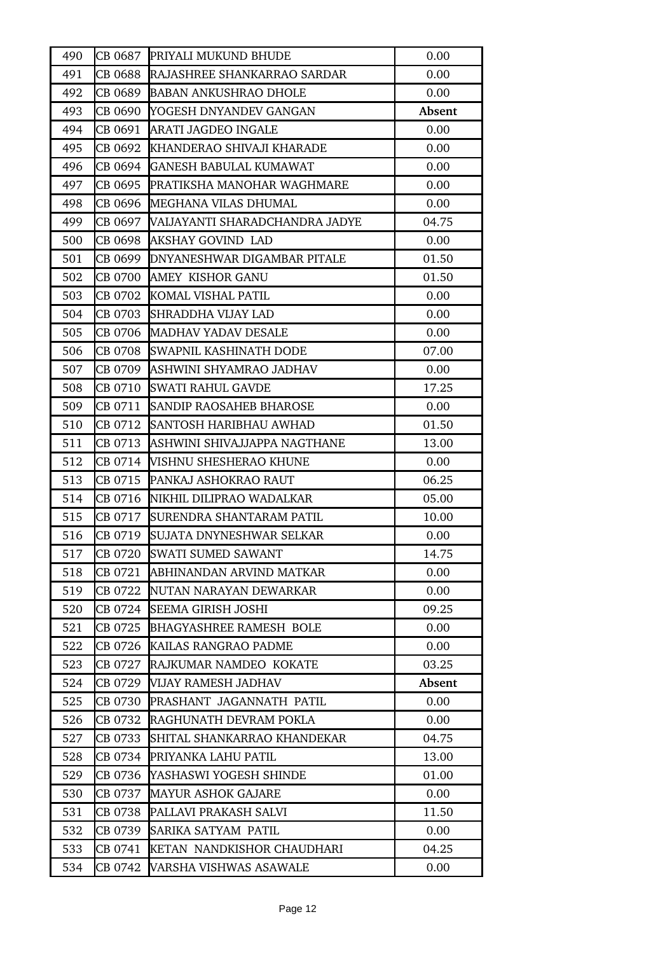| 490 | CB 0687 | PRIYALI MUKUND BHUDE                | 0.00   |
|-----|---------|-------------------------------------|--------|
| 491 | CB 0688 | RAJASHREE SHANKARRAO SARDAR         | 0.00   |
| 492 | CB 0689 | <b>BABAN ANKUSHRAO DHOLE</b>        | 0.00   |
| 493 | CB 0690 | YOGESH DNYANDEV GANGAN              | Absent |
| 494 | CB 0691 | ARATI JAGDEO INGALE                 | 0.00   |
| 495 | CB 0692 | KHANDERAO SHIVAJI KHARADE           | 0.00   |
| 496 | CB 0694 | GANESH BABULAL KUMAWAT              | 0.00   |
| 497 | CB 0695 | <b>PRATIKSHA MANOHAR WAGHMARE</b>   | 0.00   |
| 498 | CB 0696 | MEGHANA VILAS DHUMAL                | 0.00   |
| 499 | CB 0697 | VAIJAYANTI SHARADCHANDRA JADYE      | 04.75  |
| 500 |         | CB 0698 AKSHAY GOVIND LAD           | 0.00   |
| 501 |         | CB 0699 DNYANESHWAR DIGAMBAR PITALE | 01.50  |
| 502 | CB 0700 | AMEY KISHOR GANU                    | 01.50  |
| 503 | CB 0702 | KOMAL VISHAL PATIL                  | 0.00   |
| 504 | CB 0703 | <b>SHRADDHA VIJAY LAD</b>           | 0.00   |
| 505 |         | CB 0706 MADHAV YADAV DESALE         | 0.00   |
| 506 | CB 0708 | SWAPNIL KASHINATH DODE              | 07.00  |
| 507 | CB 0709 | ASHWINI SHYAMRAO JADHAV             | 0.00   |
| 508 | CB 0710 | <b>SWATI RAHUL GAVDE</b>            | 17.25  |
| 509 | CB 0711 | <b>SANDIP RAOSAHEB BHAROSE</b>      | 0.00   |
| 510 |         | CB 0712 SANTOSH HARIBHAU AWHAD      | 01.50  |
| 511 | CB 0713 | ASHWINI SHIVAJJAPPA NAGTHANE        | 13.00  |
| 512 | CB 0714 | VISHNU SHESHERAO KHUNE              | 0.00   |
| 513 | CB 0715 | PANKAJ ASHOKRAO RAUT                | 06.25  |
| 514 |         | CB 0716  NIKHIL DILIPRAO WADALKAR   | 05.00  |
| 515 | CB 0717 | <b>SURENDRA SHANTARAM PATIL</b>     | 10.00  |
| 516 | CB 0719 | SUJATA DNYNESHWAR SELKAR            | 0.00   |
| 517 | CB 0720 | <b>SWATI SUMED SAWANT</b>           | 14.75  |
| 518 | CB 0721 | ABHINANDAN ARVIND MATKAR            | 0.00   |
| 519 | CB 0722 | NUTAN NARAYAN DEWARKAR              | 0.00   |
| 520 |         | CB 0724 SEEMA GIRISH JOSHI          | 09.25  |
| 521 | CB 0725 | BHAGYASHREE RAMESH BOLE             | 0.00   |
| 522 | CB 0726 | KAILAS RANGRAO PADME                | 0.00   |
| 523 | CB 0727 | RAJKUMAR NAMDEO KOKATE              | 03.25  |
| 524 | CB 0729 | VIJAY RAMESH JADHAV                 | Absent |
| 525 | CB 0730 | PRASHANT JAGANNATH PATIL            | 0.00   |
| 526 | CB 0732 | RAGHUNATH DEVRAM POKLA              | 0.00   |
| 527 | CB 0733 | SHITAL SHANKARRAO KHANDEKAR         | 04.75  |
| 528 | CB 0734 | PRIYANKA LAHU PATIL                 | 13.00  |
| 529 | CB 0736 | YASHASWI YOGESH SHINDE              | 01.00  |
| 530 | CB 0737 | <b>MAYUR ASHOK GAJARE</b>           | 0.00   |
| 531 | CB 0738 | PALLAVI PRAKASH SALVI               | 11.50  |
| 532 | CB 0739 | SARIKA SATYAM PATIL                 | 0.00   |
| 533 | CB 0741 | KETAN NANDKISHOR CHAUDHARI          | 04.25  |
| 534 | CB 0742 | VARSHA VISHWAS ASAWALE              | 0.00   |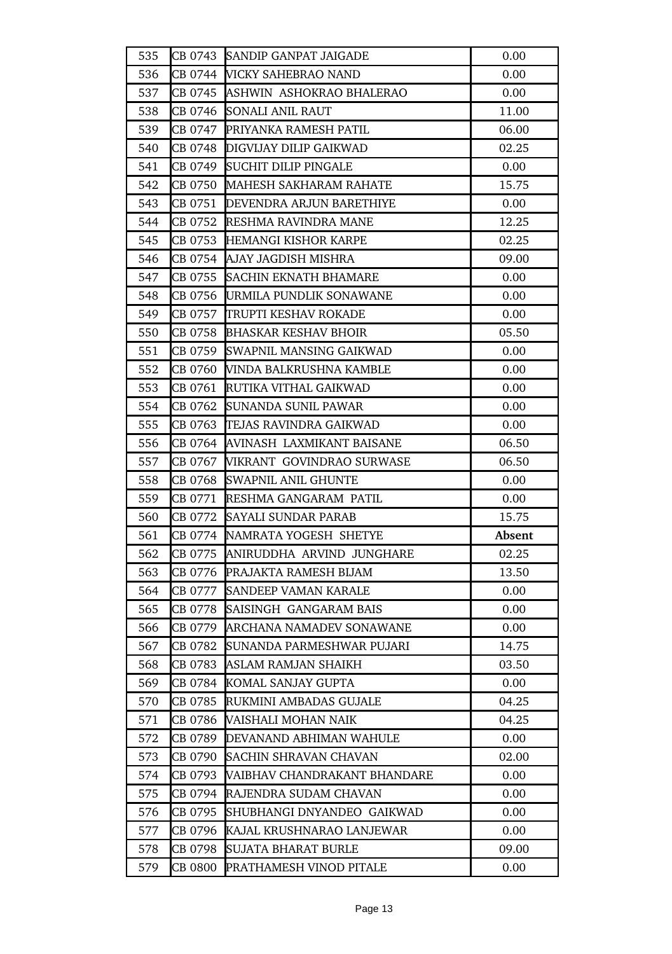| 535 |         | CB 0743 SANDIP GANPAT JAIGADE    | 0.00   |
|-----|---------|----------------------------------|--------|
| 536 |         | CB 0744 MCKY SAHEBRAO NAND       | 0.00   |
| 537 |         | CB 0745 ASHWIN ASHOKRAO BHALERAO | 0.00   |
| 538 | CB 0746 | <b>SONALI ANIL RAUT</b>          | 11.00  |
| 539 |         |                                  | 06.00  |
| 540 |         | CB 0748 DIGVIJAY DILIP GAIKWAD   | 02.25  |
| 541 |         | CB 0749  SUCHIT DILIP PINGALE    | 0.00   |
| 542 |         | CB 0750 MAHESH SAKHARAM RAHATE   | 15.75  |
| 543 |         | CB 0751 DEVENDRA ARJUN BARETHIYE | 0.00   |
| 544 |         | CB 0752 RESHMA RAVINDRA MANE     | 12.25  |
| 545 |         | CB 0753 HEMANGI KISHOR KARPE     | 02.25  |
| 546 |         | CB 0754  AJAY JAGDISH MISHRA     | 09.00  |
| 547 |         | CB 0755 SACHIN EKNATH BHAMARE    | 0.00   |
| 548 |         | CB 0756 URMILA PUNDLIK SONAWANE  | 0.00   |
| 549 |         | CB 0757 TRUPTI KESHAV ROKADE     | 0.00   |
| 550 |         | CB 0758 BHASKAR KESHAV BHOIR     | 05.50  |
| 551 |         | CB 0759 SWAPNIL MANSING GAIKWAD  | 0.00   |
| 552 |         | CB 0760 WINDA BALKRUSHNA KAMBLE  | 0.00   |
| 553 |         | CB 0761 RUTIKA VITHAL GAIKWAD    | 0.00   |
| 554 |         | CB 0762 SUNANDA SUNIL PAWAR      | 0.00   |
| 555 |         | CB 0763 TEJAS RAVINDRA GAIKWAD   | 0.00   |
| 556 | CB 0764 | AVINASH LAXMIKANT BAISANE        | 06.50  |
| 557 | CB 0767 | VIKRANT GOVINDRAO SURWASE        | 06.50  |
| 558 | CB 0768 | <b>SWAPNIL ANIL GHUNTE</b>       | 0.00   |
| 559 |         | CB 0771 RESHMA GANGARAM PATIL    | 0.00   |
| 560 |         | CB 0772 SAYALI SUNDAR PARAB      | 15.75  |
| 561 |         | CB 0774 NAMRATA YOGESH SHETYE    | Absent |
| 562 | CB 0775 | ANIRUDDHA ARVIND JUNGHARE        | 02.25  |
| 563 | CB 0776 | PRAJAKTA RAMESH BIJAM            | 13.50  |
| 564 | CB 0777 | SANDEEP VAMAN KARALE             | 0.00   |
| 565 | CB 0778 | SAISINGH GANGARAM BAIS           | 0.00   |
| 566 | CB 0779 | ARCHANA NAMADEV SONAWANE         | 0.00   |
| 567 | CB 0782 | ISUNANDA PARMESHWAR PUJARI       | 14.75  |
| 568 | CB 0783 | ASLAM RAMJAN SHAIKH              | 03.50  |
| 569 | CB 0784 | KOMAL SANJAY GUPTA               | 0.00   |
| 570 | CB 0785 | RUKMINI AMBADAS GUJALE           | 04.25  |
| 571 | CB 0786 | VAISHALI MOHAN NAIK              | 04.25  |
| 572 | CB 0789 | DEVANAND ABHIMAN WAHULE          | 0.00   |
| 573 | CB 0790 | <b>SACHIN SHRAVAN CHAVAN</b>     | 02.00  |
| 574 | CB 0793 | WAIBHAV CHANDRAKANT BHANDARE     | 0.00   |
| 575 | CB 0794 | RAJENDRA SUDAM CHAVAN            | 0.00   |
| 576 | CB 0795 | SHUBHANGI DNYANDEO GAIKWAD       | 0.00   |
| 577 | CB 0796 | KAJAL KRUSHNARAO LANJEWAR        | 0.00   |
| 578 | CB 0798 | SUJATA BHARAT BURLE              | 09.00  |
| 579 | CB 0800 | PRATHAMESH VINOD PITALE          | 0.00   |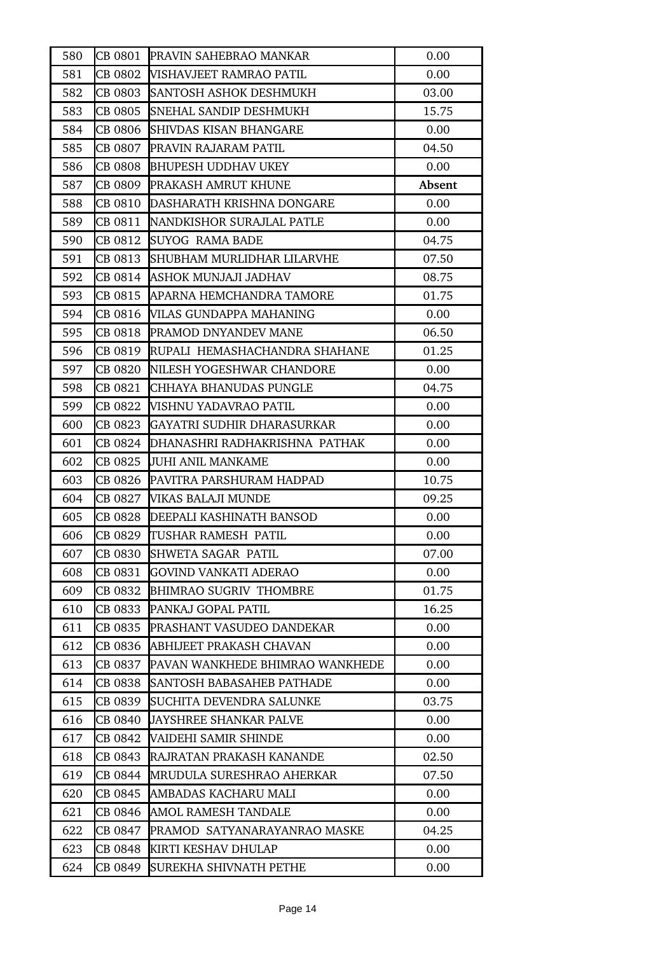| 580 |         | CB 0801 PRAVIN SAHEBRAO MANKAR         | 0.00   |
|-----|---------|----------------------------------------|--------|
| 581 |         | CB 0802   WISHAVJEET RAMRAO PATIL      | 0.00   |
| 582 | CB 0803 | <b>SANTOSH ASHOK DESHMUKH</b>          | 03.00  |
| 583 | CB 0805 | SNEHAL SANDIP DESHMUKH                 | 15.75  |
| 584 | CB 0806 | <b>SHIVDAS KISAN BHANGARE</b>          | 0.00   |
| 585 | CB 0807 | PRAVIN RAJARAM PATIL                   | 04.50  |
| 586 |         | CB 0808 BHUPESH UDDHAV UKEY            | 0.00   |
| 587 |         | CB 0809 PRAKASH AMRUT KHUNE            | Absent |
| 588 |         | CB 0810 DASHARATH KRISHNA DONGARE      | 0.00   |
| 589 |         | CB 0811 NANDKISHOR SURAJLAL PATLE      | 0.00   |
| 590 | CB 0812 | <b>SUYOG RAMA BADE</b>                 | 04.75  |
| 591 |         | CB 0813 SHUBHAM MURLIDHAR LILARVHE     | 07.50  |
| 592 | CB 0814 | ASHOK MUNJAJI JADHAV                   | 08.75  |
| 593 | CB 0815 | APARNA HEMCHANDRA TAMORE               | 01.75  |
| 594 | CB 0816 | VILAS GUNDAPPA MAHANING                | 0.00   |
| 595 | CB 0818 | <b>PRAMOD DNYANDEV MANE</b>            | 06.50  |
| 596 |         | CB 0819  RUPALI HEMASHACHANDRA SHAHANE | 01.25  |
| 597 |         | CB 0820 NILESH YOGESHWAR CHANDORE      | 0.00   |
| 598 | CB 0821 | <b>CHHAYA BHANUDAS PUNGLE</b>          | 04.75  |
| 599 | CB 0822 | <b>VISHNU YADAVRAO PATIL</b>           | 0.00   |
| 600 | CB 0823 | <b>IGAYATRI SUDHIR DHARASURKAR</b>     | 0.00   |
| 601 | CB 0824 | DHANASHRI RADHAKRISHNA PATHAK          | 0.00   |
| 602 | CB 0825 | <b>JUHI ANIL MANKAME</b>               | 0.00   |
| 603 | CB 0826 | PAVITRA PARSHURAM HADPAD               | 10.75  |
| 604 |         | CB 0827 VIKAS BALAJI MUNDE             | 09.25  |
| 605 |         | CB 0828 DEEPALI KASHINATH BANSOD       | 0.00   |
| 606 | CB 0829 | TUSHAR RAMESH PATIL                    | 0.00   |
| 607 | CB 0830 | <b>SHWETA SAGAR PATIL</b>              | 07.00  |
| 608 | CB 0831 | <b>GOVIND VANKATI ADERAO</b>           | 0.00   |
| 609 | CB 0832 | <b>BHIMRAO SUGRIV THOMBRE</b>          | 01.75  |
| 610 | CB 0833 | PANKAJ GOPAL PATIL                     | 16.25  |
| 611 | CB 0835 | <b>PRASHANT VASUDEO DANDEKAR</b>       | 0.00   |
| 612 | CB 0836 | ABHIJEET PRAKASH CHAVAN                | 0.00   |
| 613 | CB 0837 | PAVAN WANKHEDE BHIMRAO WANKHEDE        | 0.00   |
| 614 | CB 0838 | ISANTOSH BABASAHEB PATHADE             | 0.00   |
| 615 | CB 0839 | SUCHITA DEVENDRA SALUNKE               | 03.75  |
| 616 | CB 0840 | <b>JAYSHREE SHANKAR PALVE</b>          | 0.00   |
| 617 | CB 0842 | <b>VAIDEHI SAMIR SHINDE</b>            | 0.00   |
| 618 | CB 0843 | RAJRATAN PRAKASH KANANDE               | 02.50  |
| 619 | CB 0844 | <b>MRUDULA SURESHRAO AHERKAR</b>       | 07.50  |
| 620 | CB 0845 | AMBADAS KACHARU MALI                   | 0.00   |
| 621 | CB 0846 | <b>AMOL RAMESH TANDALE</b>             | 0.00   |
| 622 | CB 0847 | PRAMOD SATYANARAYANRAO MASKE           | 04.25  |
| 623 | CB 0848 | KIRTI KESHAV DHULAP                    | 0.00   |
| 624 | CB 0849 | SUREKHA SHIVNATH PETHE                 | 0.00   |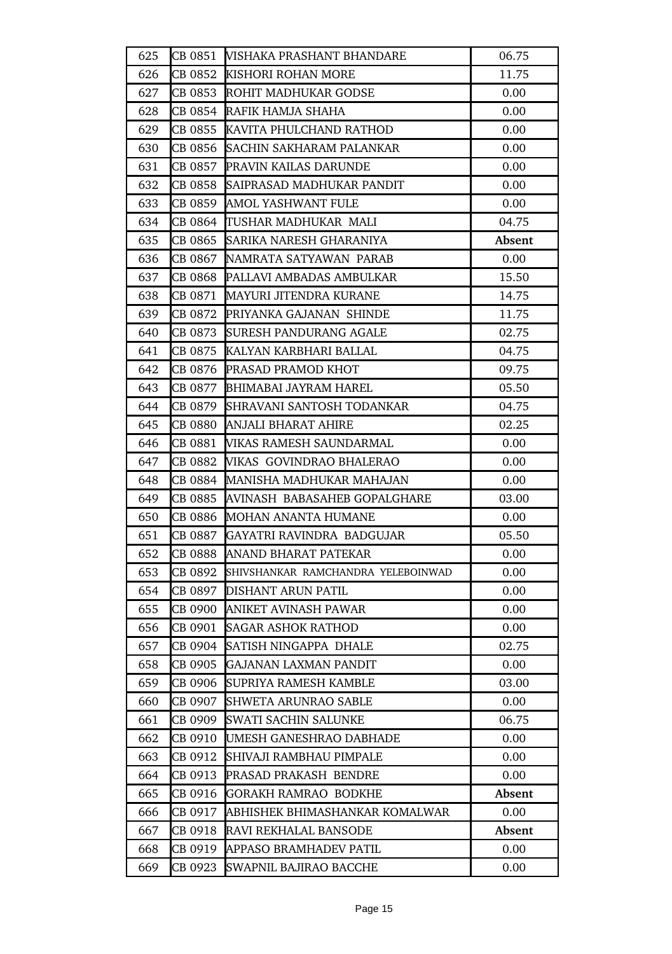| 625 |         | CB 0851 WISHAKA PRASHANT BHANDARE    | 06.75  |
|-----|---------|--------------------------------------|--------|
| 626 |         | CB 0852 KISHORI ROHAN MORE           | 11.75  |
| 627 |         | CB 0853  ROHIT MADHUKAR GODSE        | 0.00   |
| 628 |         | CB 0854 RAFIK HAMJA SHAHA            | 0.00   |
| 629 |         | CB 0855 KAVITA PHULCHAND RATHOD      | 0.00   |
| 630 |         | CB 0856 SACHIN SAKHARAM PALANKAR     | 0.00   |
| 631 |         | CB 0857 PRAVIN KAILAS DARUNDE        | 0.00   |
| 632 | CB 0858 | SAIPRASAD MADHUKAR PANDIT            | 0.00   |
| 633 |         | CB 0859 AMOL YASHWANT FULE           | 0.00   |
| 634 |         | CB 0864 TUSHAR MADHUKAR MALI         | 04.75  |
| 635 |         | CB 0865 SARIKA NARESH GHARANIYA      | Absent |
| 636 | CB 0867 | NAMRATA SATYAWAN PARAB               | 0.00   |
| 637 |         | CB 0868 PALLAVI AMBADAS AMBULKAR     | 15.50  |
| 638 |         | CB 0871 MAYURI JITENDRA KURANE       | 14.75  |
| 639 |         | CB 0872 PRIYANKA GAJANAN SHINDE      | 11.75  |
| 640 |         | CB 0873 SURESH PANDURANG AGALE       | 02.75  |
| 641 |         | CB 0875 KALYAN KARBHARI BALLAL       | 04.75  |
| 642 | CB 0876 | <b>PRASAD PRAMOD KHOT</b>            | 09.75  |
| 643 |         | CB 0877 BHIMABAI JAYRAM HAREL        | 05.50  |
| 644 |         | CB 0879 SHRAVANI SANTOSH TODANKAR    | 04.75  |
| 645 |         | CB 0880 ANJALI BHARAT AHIRE          | 02.25  |
| 646 | CB 0881 | VIKAS RAMESH SAUNDARMAL              | 0.00   |
| 647 | CB 0882 | <b>VIKAS GOVINDRAO BHALERAO</b>      | 0.00   |
| 648 |         | CB 0884 MANISHA MADHUKAR MAHAJAN     | 0.00   |
| 649 |         | CB 0885 AVINASH BABASAHEB GOPALGHARE | 03.00  |
| 650 | CB 0886 | <b>MOHAN ANANTA HUMANE</b>           | 0.00   |
| 651 | CB 0887 | GAYATRI RAVINDRA BADGUJAR            | 05.50  |
| 652 | CB 0888 | ANAND BHARAT PATEKAR                 | 0.00   |
| 653 | CB 0892 | SHIVSHANKAR RAMCHANDRA YELEBOINWAD   | 0.00   |
| 654 | CB 0897 | DISHANT ARUN PATIL                   | 0.00   |
| 655 | CB 0900 | ANIKET AVINASH PAWAR                 | 0.00   |
| 656 | CB 0901 | <b>SAGAR ASHOK RATHOD</b>            | 0.00   |
| 657 | CB 0904 | SATISH NINGAPPA DHALE                | 02.75  |
| 658 | CB 0905 | <b>GAJANAN LAXMAN PANDIT</b>         | 0.00   |
| 659 | CB 0906 | SUPRIYA RAMESH KAMBLE                | 03.00  |
| 660 | CB 0907 | <b>SHWETA ARUNRAO SABLE</b>          | 0.00   |
| 661 | CB 0909 | <b>SWATI SACHIN SALUNKE</b>          | 06.75  |
| 662 | CB 0910 | UMESH GANESHRAO DABHADE              | 0.00   |
| 663 | CB 0912 | SHIVAJI RAMBHAU PIMPALE              | 0.00   |
| 664 | CB 0913 | PRASAD PRAKASH BENDRE                | 0.00   |
| 665 | CB 0916 | <b>GORAKH RAMRAO BODKHE</b>          | Absent |
| 666 | CB 0917 | ABHISHEK BHIMASHANKAR KOMALWAR       | 0.00   |
| 667 | CB 0918 | <b>RAVI REKHALAL BANSODE</b>         | Absent |
| 668 | CB 0919 | <b>APPASO BRAMHADEV PATIL</b>        | 0.00   |
| 669 | CB 0923 | SWAPNIL BAJIRAO BACCHE               | 0.00   |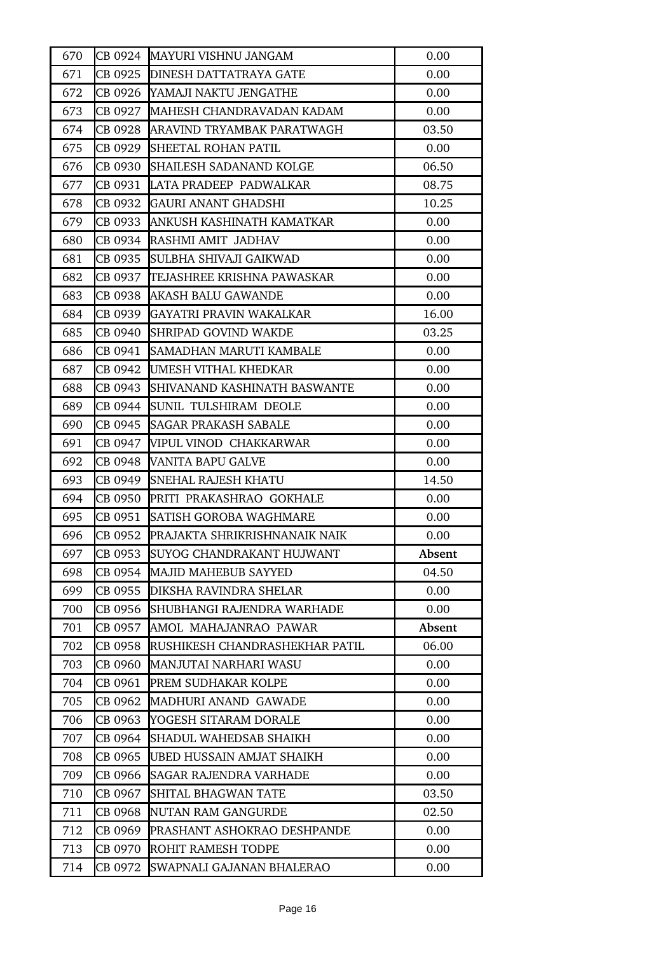| 670 |         | CB 0924 MAYURI VISHNU JANGAM           | 0.00   |
|-----|---------|----------------------------------------|--------|
| 671 |         | <b>CB 0925 DINESH DATTATRAYA GATE</b>  | 0.00   |
| 672 |         | CB 0926 YAMAJI NAKTU JENGATHE          | 0.00   |
| 673 | CB 0927 | MAHESH CHANDRAVADAN KADAM              | 0.00   |
| 674 |         | CB 0928 ARAVIND TRYAMBAK PARATWAGH     | 03.50  |
| 675 |         | CB 0929 SHEETAL ROHAN PATIL            | 0.00   |
| 676 |         | <b>CB 0930 SHAILESH SADANAND KOLGE</b> | 06.50  |
| 677 |         | CB 0931 LATA PRADEEP PADWALKAR         | 08.75  |
| 678 |         | CB 0932 GAURI ANANT GHADSHI            | 10.25  |
| 679 |         | CB 0933 ANKUSH KASHINATH KAMATKAR      | 0.00   |
| 680 |         | CB 0934 RASHMI AMIT JADHAV             | 0.00   |
| 681 |         | CB 0935   SULBHA SHIVAJI GAIKWAD       | 0.00   |
| 682 |         | CB 0937 TEJASHREE KRISHNA PAWASKAR     | 0.00   |
| 683 |         | CB 0938 AKASH BALU GAWANDE             | 0.00   |
| 684 |         | <b>CB 0939 GAYATRI PRAVIN WAKALKAR</b> | 16.00  |
| 685 |         | CB 0940 SHRIPAD GOVIND WAKDE           | 03.25  |
| 686 | CB 0941 | SAMADHAN MARUTI KAMBALE                | 0.00   |
| 687 | CB 0942 | UMESH VITHAL KHEDKAR                   | 0.00   |
| 688 | CB 0943 | SHIVANAND KASHINATH BASWANTE           | 0.00   |
| 689 | CB 0944 | <b>SUNIL TULSHIRAM DEOLE</b>           | 0.00   |
| 690 |         | <b>CB 0945 SAGAR PRAKASH SABALE</b>    | 0.00   |
| 691 | CB 0947 | VIPUL VINOD CHAKKARWAR                 | 0.00   |
| 692 | CB 0948 | <b>VANITA BAPU GALVE</b>               | 0.00   |
| 693 | CB 0949 | <b>SNEHAL RAJESH KHATU</b>             | 14.50  |
| 694 |         | CB 0950 PRITI PRAKASHRAO GOKHALE       | 0.00   |
| 695 |         | <b>CB 0951 SATISH GOROBA WAGHMARE</b>  | 0.00   |
| 696 | CB 0952 | PRAJAKTA SHRIKRISHNANAIK NAIK          | 0.00   |
| 697 | CB 0953 | ISUYOG CHANDRAKANT HUJWANT             | Absent |
| 698 | CB 0954 | MAJID MAHEBUB SAYYED                   | 04.50  |
| 699 | CB 0955 | <b>DIKSHA RAVINDRA SHELAR</b>          | 0.00   |
| 700 |         | CB 0956 SHUBHANGI RAJENDRA WARHADE     | 0.00   |
| 701 | CB 0957 | AMOL MAHAJANRAO PAWAR                  | Absent |
| 702 | CB 0958 | RUSHIKESH CHANDRASHEKHAR PATIL         | 06.00  |
| 703 | CB 0960 | MANJUTAI NARHARI WASU                  | 0.00   |
| 704 | CB 0961 | <b>PREM SUDHAKAR KOLPE</b>             | 0.00   |
| 705 | CB 0962 | MADHURI ANAND GAWADE                   | 0.00   |
| 706 | CB 0963 | YOGESH SITARAM DORALE                  | 0.00   |
| 707 | CB 0964 | ISHADUL WAHEDSAB SHAIKH                | 0.00   |
| 708 | CB 0965 | UBED HUSSAIN AMJAT SHAIKH              | 0.00   |
| 709 | CB 0966 | ISAGAR RAJENDRA VARHADE                | 0.00   |
| 710 | CB 0967 | <b>SHITAL BHAGWAN TATE</b>             | 03.50  |
| 711 | CB 0968 | <b>NUTAN RAM GANGURDE</b>              | 02.50  |
| 712 | CB 0969 | PRASHANT ASHOKRAO DESHPANDE            | 0.00   |
| 713 | CB 0970 | <b>ROHIT RAMESH TODPE</b>              | 0.00   |
| 714 | CB 0972 | SWAPNALI GAJANAN BHALERAO              | 0.00   |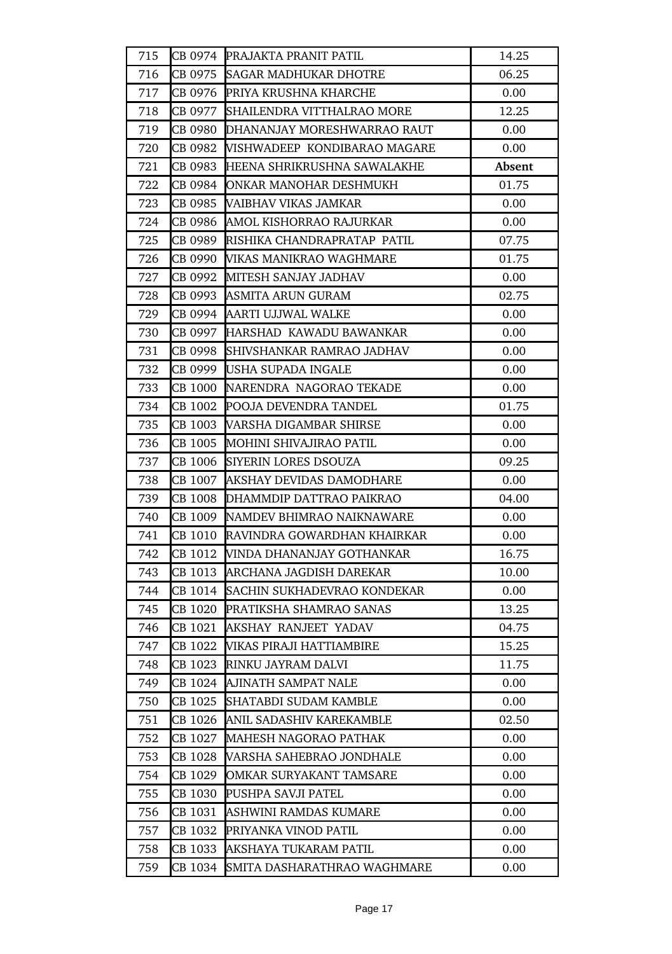| 715 | CB 0974 | PRAJAKTA PRANIT PATIL               | 14.25  |
|-----|---------|-------------------------------------|--------|
| 716 | CB 0975 | <b>SAGAR MADHUKAR DHOTRE</b>        | 06.25  |
| 717 | CB 0976 | <b>PRIYA KRUSHNA KHARCHE</b>        | 0.00   |
| 718 | CB 0977 | <b>SHAILENDRA VITTHALRAO MORE</b>   | 12.25  |
| 719 | CB 0980 | DHANANJAY MORESHWARRAO RAUT         | 0.00   |
| 720 | CB 0982 | <b>VISHWADEEP KONDIBARAO MAGARE</b> | 0.00   |
| 721 | CB 0983 | HEENA SHRIKRUSHNA SAWALAKHE         | Absent |
| 722 | CB 0984 | <b>JONKAR MANOHAR DESHMUKH</b>      | 01.75  |
| 723 | CB 0985 | <b>VAIBHAV VIKAS JAMKAR</b>         | 0.00   |
| 724 | CB 0986 | AMOL KISHORRAO RAJURKAR             | 0.00   |
| 725 | CB 0989 | RISHIKA CHANDRAPRATAP PATIL         | 07.75  |
| 726 | CB 0990 | WIKAS MANIKRAO WAGHMARE             | 01.75  |
| 727 | CB 0992 | MITESH SANJAY JADHAV                | 0.00   |
| 728 | CB 0993 | ASMITA ARUN GURAM                   | 02.75  |
| 729 | CB 0994 | AARTI UJJWAL WALKE                  | 0.00   |
| 730 |         | CB 0997 HARSHAD KAWADU BAWANKAR     | 0.00   |
| 731 |         | CB 0998 SHIVSHANKAR RAMRAO JADHAV   | 0.00   |
| 732 | CB 0999 | <b>USHA SUPADA INGALE</b>           | 0.00   |
| 733 | CB 1000 | NARENDRA NAGORAO TEKADE             | 0.00   |
| 734 | CB 1002 | POOJA DEVENDRA TANDEL               | 01.75  |
| 735 |         | CB 1003 WARSHA DIGAMBAR SHIRSE      | 0.00   |
| 736 | CB 1005 | MOHINI SHIVAJIRAO PATIL             | 0.00   |
| 737 | CB 1006 | <b>SIYERIN LORES DSOUZA</b>         | 09.25  |
| 738 | CB 1007 | AKSHAY DEVIDAS DAMODHARE            | 0.00   |
| 739 |         | CB 1008 DHAMMDIP DATTRAO PAIKRAO    | 04.00  |
| 740 | CB 1009 | NAMDEV BHIMRAO NAIKNAWARE           | 0.00   |
| 741 | CB 1010 | RAVINDRA GOWARDHAN KHAIRKAR         | 0.00   |
| 742 | CB 1012 | VINDA DHANANJAY GOTHANKAR           | 16.75  |
| 743 | CB 1013 | ARCHANA JAGDISH DAREKAR             | 10.00  |
| 744 | CB 1014 | SACHIN SUKHADEVRAO KONDEKAR         | 0.00   |
| 745 | CB 1020 | PRATIKSHA SHAMRAO SANAS             | 13.25  |
| 746 | CB 1021 | AKSHAY RANJEET YADAV                | 04.75  |
| 747 | CB 1022 | VIKAS PIRAJI HATTIAMBIRE            | 15.25  |
| 748 | CB 1023 | RINKU JAYRAM DALVI                  | 11.75  |
| 749 | CB 1024 | AJINATH SAMPAT NALE                 | 0.00   |
| 750 | CB 1025 | SHATABDI SUDAM KAMBLE               | 0.00   |
| 751 | CB 1026 | ANIL SADASHIV KAREKAMBLE            | 02.50  |
| 752 | CB 1027 | MAHESH NAGORAO PATHAK               | 0.00   |
| 753 | CB 1028 | VARSHA SAHEBRAO JONDHALE            | 0.00   |
| 754 | CB 1029 | OMKAR SURYAKANT TAMSARE             | 0.00   |
| 755 | CB 1030 | PUSHPA SAVJI PATEL                  | 0.00   |
| 756 | CB 1031 | ASHWINI RAMDAS KUMARE               | 0.00   |
| 757 | CB 1032 | PRIYANKA VINOD PATIL                | 0.00   |
| 758 | CB 1033 | AKSHAYA TUKARAM PATIL               | 0.00   |
| 759 | CB 1034 | SMITA DASHARATHRAO WAGHMARE         | 0.00   |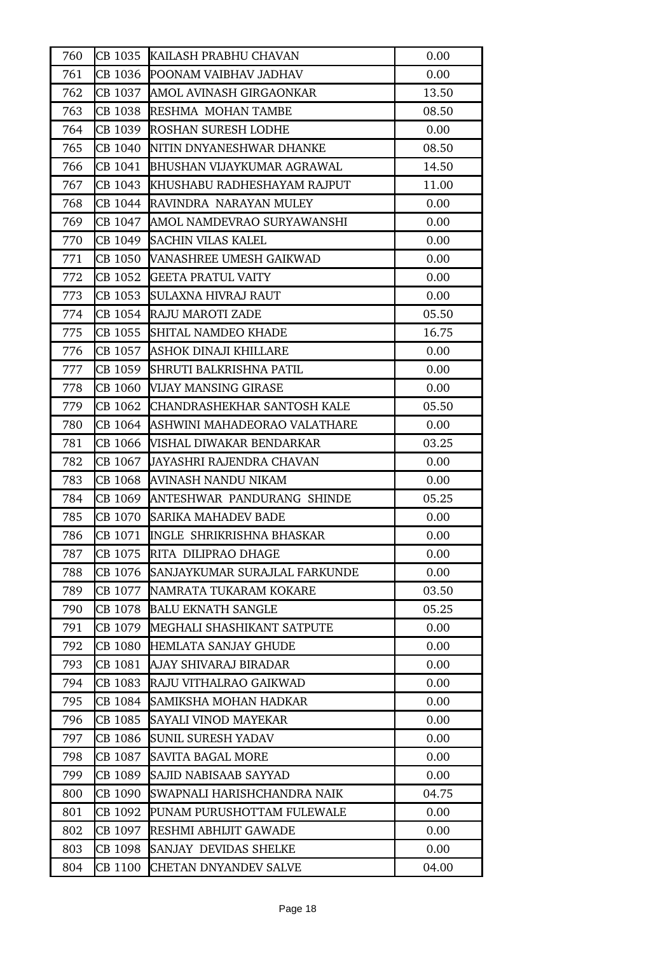| 760 | CB 1035 | KAILASH PRABHU CHAVAN                | 0.00  |
|-----|---------|--------------------------------------|-------|
| 761 | CB 1036 | POONAM VAIBHAV JADHAV                | 0.00  |
| 762 | CB 1037 | AMOL AVINASH GIRGAONKAR              | 13.50 |
| 763 | CB 1038 | <b>RESHMA MOHAN TAMBE</b>            | 08.50 |
| 764 | CB 1039 | <b>ROSHAN SURESH LODHE</b>           | 0.00  |
| 765 | CB 1040 | NITIN DNYANESHWAR DHANKE             | 08.50 |
| 766 |         | CB 1041 BHUSHAN VIJAYKUMAR AGRAWAL   | 14.50 |
| 767 | CB 1043 | KHUSHABU RADHESHAYAM RAJPUT          | 11.00 |
| 768 | CB 1044 | RAVINDRA NARAYAN MULEY               | 0.00  |
| 769 | CB 1047 | AMOL NAMDEVRAO SURYAWANSHI           | 0.00  |
| 770 | CB 1049 | <b>SACHIN VILAS KALEL</b>            | 0.00  |
| 771 | CB 1050 | VANASHREE UMESH GAIKWAD              | 0.00  |
| 772 | CB 1052 | GEETA PRATUL VAITY                   | 0.00  |
| 773 | CB 1053 | <b>SULAXNA HIVRAJ RAUT</b>           | 0.00  |
| 774 | CB 1054 | RAJU MAROTI ZADE                     | 05.50 |
| 775 | CB 1055 | <b>SHITAL NAMDEO KHADE</b>           | 16.75 |
| 776 | CB 1057 | IASHOK DINAJI KHILLARE               | 0.00  |
| 777 | CB 1059 | <b>SHRUTI BALKRISHNA PATIL</b>       | 0.00  |
| 778 |         | CB 1060 WIJAY MANSING GIRASE         | 0.00  |
| 779 | CB 1062 | <b>CHANDRASHEKHAR SANTOSH KALE</b>   | 05.50 |
| 780 |         | CB 1064 ASHWINI MAHADEORAO VALATHARE | 0.00  |
| 781 | CB 1066 | WISHAL DIWAKAR BENDARKAR             | 03.25 |
| 782 | CB 1067 | JAYASHRI RAJENDRA CHAVAN             | 0.00  |
| 783 | CB 1068 | AVINASH NANDU NIKAM                  | 0.00  |
| 784 |         | CB 1069 ANTESHWAR PANDURANG SHINDE   | 05.25 |
| 785 |         | CB 1070 SARIKA MAHADEV BADE          | 0.00  |
| 786 | CB 1071 | INGLE SHRIKRISHNA BHASKAR            | 0.00  |
| 787 | CB 1075 | RITA DILIPRAO DHAGE                  | 0.00  |
| 788 | CB 1076 | SANJAYKUMAR SURAJLAL FARKUNDE        | 0.00  |
| 789 | CB 1077 | <b>NAMRATA TUKARAM KOKARE</b>        | 03.50 |
| 790 | CB 1078 | <b>BALU EKNATH SANGLE</b>            | 05.25 |
| 791 | CB 1079 | MEGHALI SHASHIKANT SATPUTE           | 0.00  |
| 792 | CB 1080 | HEMLATA SANJAY GHUDE                 | 0.00  |
| 793 | CB 1081 | AJAY SHIVARAJ BIRADAR                | 0.00  |
| 794 | CB 1083 | RAJU VITHALRAO GAIKWAD               | 0.00  |
| 795 | CB 1084 | SAMIKSHA MOHAN HADKAR                | 0.00  |
| 796 | CB 1085 | <b>SAYALI VINOD MAYEKAR</b>          | 0.00  |
| 797 | CB 1086 | <b>SUNIL SURESH YADAV</b>            | 0.00  |
| 798 | CB 1087 | <b>SAVITA BAGAL MORE</b>             | 0.00  |
| 799 | CB 1089 | SAJID NABISAAB SAYYAD                | 0.00  |
| 800 | CB 1090 | SWAPNALI HARISHCHANDRA NAIK          | 04.75 |
| 801 | CB 1092 | PUNAM PURUSHOTTAM FULEWALE           | 0.00  |
| 802 | CB 1097 | <b>RESHMI ABHIJIT GAWADE</b>         | 0.00  |
| 803 | CB 1098 | <b>SANJAY DEVIDAS SHELKE</b>         | 0.00  |
| 804 | CB 1100 | <b>CHETAN DNYANDEV SALVE</b>         | 04.00 |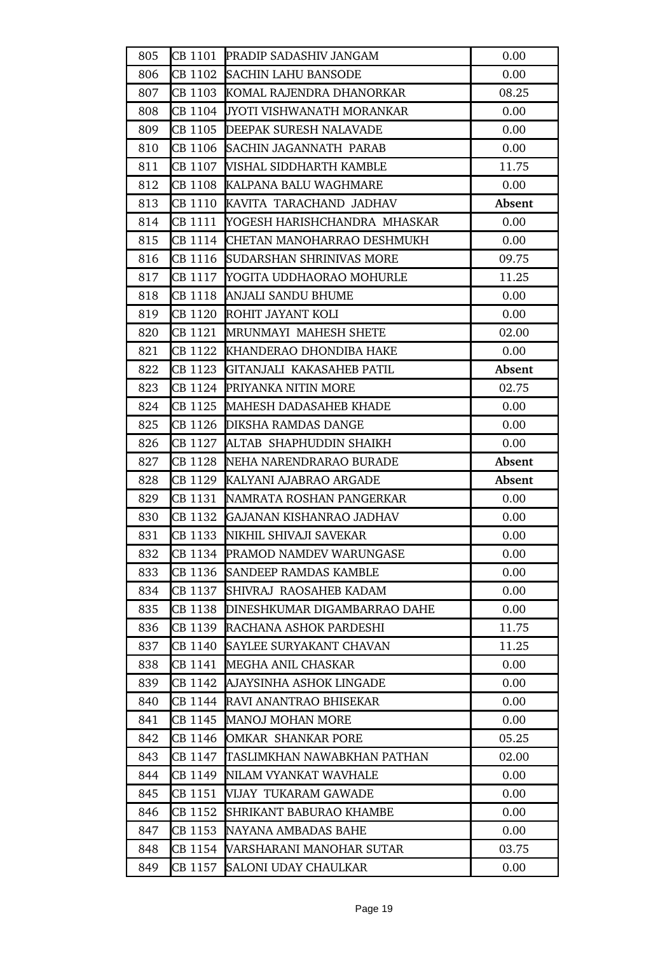| 805 |         | CB 1101 PRADIP SADASHIV JANGAM      | 0.00   |
|-----|---------|-------------------------------------|--------|
| 806 |         | CB 1102 SACHIN LAHU BANSODE         | 0.00   |
| 807 |         | CB 1103 KOMAL RAJENDRA DHANORKAR    | 08.25  |
| 808 | CB 1104 | <b>IJYOTI VISHWANATH MORANKAR</b>   | 0.00   |
| 809 |         | CB 1105 DEEPAK SURESH NALAVADE      | 0.00   |
| 810 |         | CB 1106 SACHIN JAGANNATH PARAB      | 0.00   |
| 811 |         | CB 1107 WISHAL SIDDHARTH KAMBLE     | 11.75  |
| 812 |         | CB 1108 KALPANA BALU WAGHMARE       | 0.00   |
| 813 |         | CB 1110 KAVITA TARACHAND JADHAV     | Absent |
| 814 | CB 1111 | YOGESH HARISHCHANDRA MHASKAR        | 0.00   |
| 815 |         | CB 1114 CHETAN MANOHARRAO DESHMUKH  | 0.00   |
| 816 |         | CB 1116 SUDARSHAN SHRINIVAS MORE    | 09.75  |
| 817 |         | CB 1117 YOGITA UDDHAORAO MOHURLE    | 11.25  |
| 818 | CB 1118 | ANJALI SANDU BHUME                  | 0.00   |
| 819 |         | CB 1120 ROHIT JAYANT KOLI           | 0.00   |
| 820 |         | CB 1121 MRUNMAYI MAHESH SHETE       | 02.00  |
| 821 |         | CB 1122 KHANDERAO DHONDIBA HAKE     | 0.00   |
| 822 |         | CB 1123 GITANJALI KAKASAHEB PATIL   | Absent |
| 823 |         | CB 1124 PRIYANKA NITIN MORE         | 02.75  |
| 824 |         | CB 1125 MAHESH DADASAHEB KHADE      | 0.00   |
| 825 |         | CB 1126 DIKSHA RAMDAS DANGE         | 0.00   |
| 826 | CB 1127 | ALTAB SHAPHUDDIN SHAIKH             | 0.00   |
| 827 |         |                                     |        |
|     | CB 1128 | NEHA NARENDRARAO BURADE             | Absent |
| 828 |         | CB 1129 KALYANI AJABRAO ARGADE      | Absent |
| 829 |         | CB 1131 NAMRATA ROSHAN PANGERKAR    | 0.00   |
| 830 | CB 1132 | GAJANAN KISHANRAO JADHAV            | 0.00   |
| 831 |         | CB 1133 NIKHIL SHIVAJI SAVEKAR      | 0.00   |
| 832 | CB 1134 | <b>PRAMOD NAMDEV WARUNGASE</b>      | 0.00   |
| 833 | CB 1136 | <b>SANDEEP RAMDAS KAMBLE</b>        | 0.00   |
| 834 | CB 1137 | SHIVRAJ RAOSAHEB KADAM              | 0.00   |
| 835 | CB 1138 | DINESHKUMAR DIGAMBARRAO DAHE        | 0.00   |
| 836 | CB 1139 | RACHANA ASHOK PARDESHI              | 11.75  |
| 837 | CB 1140 | SAYLEE SURYAKANT CHAVAN             | 11.25  |
| 838 | CB 1141 | MEGHA ANIL CHASKAR                  | 0.00   |
| 839 | CB 1142 | AJAYSINHA ASHOK LINGADE             | 0.00   |
| 840 | CB 1144 | <b>RAVI ANANTRAO BHISEKAR</b>       | 0.00   |
| 841 | CB 1145 | <b>MANOJ MOHAN MORE</b>             | 0.00   |
| 842 | CB 1146 | OMKAR SHANKAR PORE                  | 05.25  |
| 843 |         | CB 1147 TASLIMKHAN NAWABKHAN PATHAN | 02.00  |
| 844 |         | CB 1149 NILAM VYANKAT WAVHALE       | 0.00   |
| 845 | CB 1151 | VIJAY TUKARAM GAWADE                | 0.00   |
| 846 | CB 1152 | SHRIKANT BABURAO KHAMBE             | 0.00   |
| 847 | CB 1153 | NAYANA AMBADAS BAHE                 | 0.00   |
| 848 | CB 1154 | VARSHARANI MANOHAR SUTAR            | 03.75  |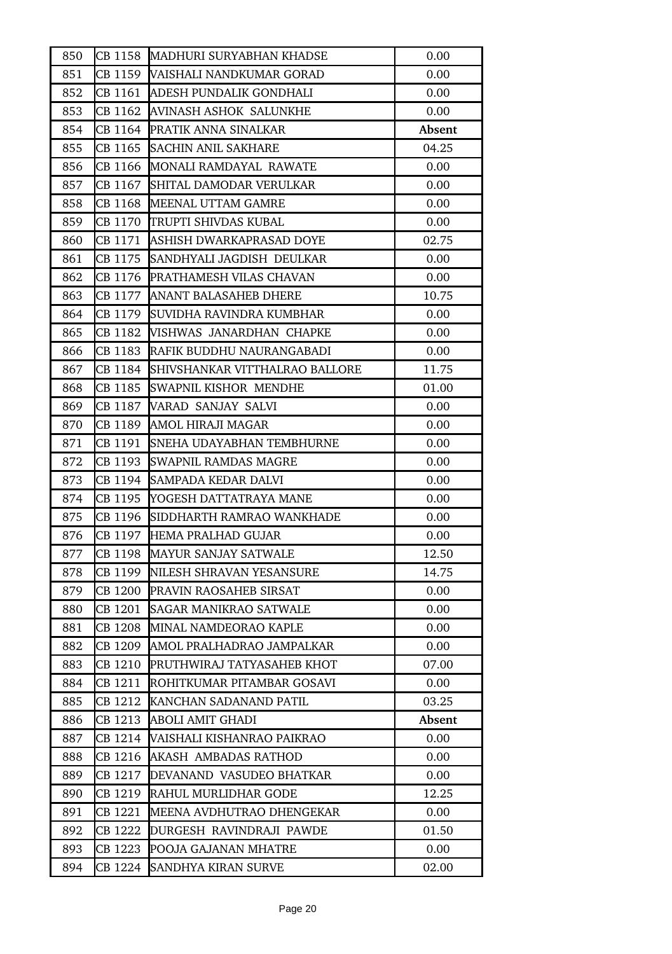| 850 | CB 1158 | MADHURI SURYABHAN KHADSE              | 0.00   |
|-----|---------|---------------------------------------|--------|
| 851 |         | CB 1159 WAISHALI NANDKUMAR GORAD      | 0.00   |
| 852 |         | CB 1161 ADESH PUNDALIK GONDHALI       | 0.00   |
| 853 | CB 1162 | <b>AVINASH ASHOK SALUNKHE</b>         | 0.00   |
| 854 |         | CB 1164 PRATIK ANNA SINALKAR          | Absent |
| 855 | CB 1165 | <b>SACHIN ANIL SAKHARE</b>            | 04.25  |
| 856 |         | CB 1166 MONALI RAMDAYAL RAWATE        | 0.00   |
| 857 | CB 1167 | SHITAL DAMODAR VERULKAR               | 0.00   |
| 858 | CB 1168 | MEENAL UTTAM GAMRE                    | 0.00   |
| 859 |         | CB 1170 TRUPTI SHIVDAS KUBAL          | 0.00   |
| 860 |         | CB 1171 ASHISH DWARKAPRASAD DOYE      | 02.75  |
| 861 |         | CB 1175 SANDHYALI JAGDISH DEULKAR     | 0.00   |
| 862 | CB 1176 | <b>PRATHAMESH VILAS CHAVAN</b>        | 0.00   |
| 863 | CB 1177 | <b>ANANT BALASAHEB DHERE</b>          | 10.75  |
| 864 | CB 1179 | SUVIDHA RAVINDRA KUMBHAR              | 0.00   |
| 865 |         | CB 1182 WISHWAS JANARDHAN CHAPKE      | 0.00   |
| 866 |         | CB 1183 RAFIK BUDDHU NAURANGABADI     | 0.00   |
| 867 | CB 1184 | <b>SHIVSHANKAR VITTHALRAO BALLORE</b> | 11.75  |
| 868 | CB 1185 | SWAPNIL KISHOR MENDHE                 | 01.00  |
| 869 |         | CB 1187 WARAD SANJAY SALVI            | 0.00   |
| 870 |         | CB 1189 AMOL HIRAJI MAGAR             | 0.00   |
| 871 | CB 1191 | SNEHA UDAYABHAN TEMBHURNE             | 0.00   |
| 872 | CB 1193 | <b>SWAPNIL RAMDAS MAGRE</b>           | 0.00   |
| 873 | CB 1194 | <b>SAMPADA KEDAR DALVI</b>            | 0.00   |
| 874 |         | CB 1195 YOGESH DATTATRAYA MANE        | 0.00   |
| 875 |         | CB 1196 SIDDHARTH RAMRAO WANKHADE     | 0.00   |
| 876 |         | CB 1197 HEMA PRALHAD GUJAR            | 0.00   |
| 877 | CB 1198 | MAYUR SANJAY SATWALE                  | 12.50  |
| 878 | CB 1199 | <b>INILESH SHRAVAN YESANSURE</b>      | 14.75  |
| 879 |         | CB 1200 PRAVIN RAOSAHEB SIRSAT        | 0.00   |
| 880 | CB 1201 | <b>SAGAR MANIKRAO SATWALE</b>         | 0.00   |
| 881 | CB 1208 | MINAL NAMDEORAO KAPLE                 | 0.00   |
| 882 | CB 1209 | AMOL PRALHADRAO JAMPALKAR             | 0.00   |
| 883 | CB 1210 | PRUTHWIRAJ TATYASAHEB KHOT            | 07.00  |
| 884 | CB 1211 | ROHITKUMAR PITAMBAR GOSAVI            | 0.00   |
| 885 | CB 1212 | KANCHAN SADANAND PATIL                | 03.25  |
| 886 | CB 1213 | <b>ABOLI AMIT GHADI</b>               | Absent |
| 887 | CB 1214 | VAISHALI KISHANRAO PAIKRAO            | 0.00   |
| 888 | CB 1216 | AKASH AMBADAS RATHOD                  | 0.00   |
| 889 | CB 1217 | DEVANAND VASUDEO BHATKAR              | 0.00   |
| 890 | CB 1219 | RAHUL MURLIDHAR GODE                  | 12.25  |
| 891 | CB 1221 | MEENA AVDHUTRAO DHENGEKAR             | 0.00   |
| 892 | CB 1222 | DURGESH RAVINDRAJI PAWDE              | 01.50  |
| 893 | CB 1223 | POOJA GAJANAN MHATRE                  | 0.00   |
| 894 | CB 1224 | SANDHYA KIRAN SURVE                   | 02.00  |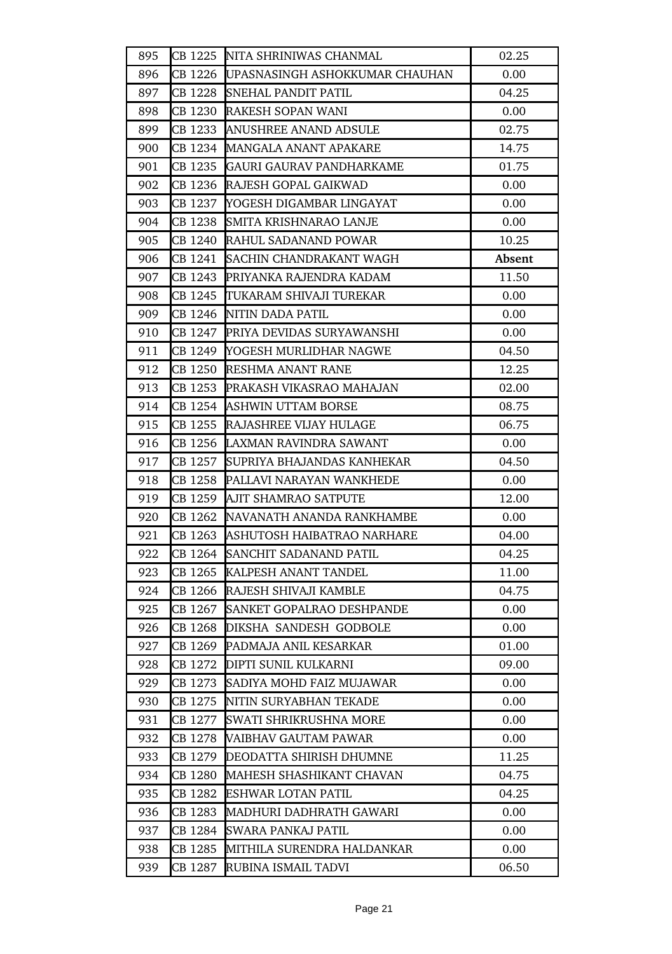| 895 | CB 1225 | NITA SHRINIWAS CHANMAL                  | 02.25  |
|-----|---------|-----------------------------------------|--------|
| 896 |         | CB 1226  UPASNASINGH ASHOKKUMAR CHAUHAN | 0.00   |
| 897 | CB 1228 | <b>SNEHAL PANDIT PATIL</b>              | 04.25  |
| 898 | CB 1230 | RAKESH SOPAN WANI                       | 0.00   |
| 899 | CB 1233 | <b>ANUSHREE ANAND ADSULE</b>            | 02.75  |
| 900 |         | <b>CB 1234 MANGALA ANANT APAKARE</b>    | 14.75  |
| 901 | CB 1235 | GAURI GAURAV PANDHARKAME                | 01.75  |
| 902 | CB 1236 | RAJESH GOPAL GAIKWAD                    | 0.00   |
| 903 | CB 1237 | YOGESH DIGAMBAR LINGAYAT                | 0.00   |
| 904 | CB 1238 | <b>SMITA KRISHNARAO LANJE</b>           | 0.00   |
| 905 |         | CB 1240 RAHUL SADANAND POWAR            | 10.25  |
| 906 |         | CB 1241 SACHIN CHANDRAKANT WAGH         | Absent |
| 907 |         | CB 1243 PRIYANKA RAJENDRA KADAM         | 11.50  |
| 908 | CB 1245 | TUKARAM SHIVAJI TUREKAR                 | 0.00   |
| 909 | CB 1246 | NITIN DADA PATIL                        | 0.00   |
| 910 |         | CB 1247 PRIYA DEVIDAS SURYAWANSHI       | 0.00   |
| 911 |         | CB 1249 YOGESH MURLIDHAR NAGWE          | 04.50  |
| 912 |         | CB 1250 RESHMA ANANT RANE               | 12.25  |
| 913 | CB 1253 | PRAKASH VIKASRAO MAHAJAN                | 02.00  |
| 914 |         | CB 1254 ASHWIN UTTAM BORSE              | 08.75  |
| 915 |         | CB 1255 RAJASHREE VIJAY HULAGE          | 06.75  |
| 916 | CB 1256 | LAXMAN RAVINDRA SAWANT                  | 0.00   |
| 917 | CB 1257 | SUPRIYA BHAJANDAS KANHEKAR              | 04.50  |
| 918 | CB 1258 | <b>PALLAVI NARAYAN WANKHEDE</b>         | 0.00   |
| 919 |         | <b>CB 1259 AJIT SHAMRAO SATPUTE</b>     | 12.00  |
| 920 |         | CB 1262 NAVANATH ANANDA RANKHAMBE       | 0.00   |
| 921 |         | CB 1263 ASHUTOSH HAIBATRAO NARHARE      | 04.00  |
| 922 | CB 1264 | <b>SANCHIT SADANAND PATIL</b>           | 04.25  |
| 923 | CB 1265 | <b>KALPESH ANANT TANDEL</b>             | 11.00  |
| 924 | CB 1266 | RAJESH SHIVAJI KAMBLE                   | 04.75  |
| 925 | CB 1267 | <b>SANKET GOPALRAO DESHPANDE</b>        | 0.00   |
| 926 | CB 1268 | <b>DIKSHA SANDESH GODBOLE</b>           | 0.00   |
| 927 | CB 1269 | PADMAJA ANIL KESARKAR                   | 01.00  |
| 928 | CB 1272 | <b>DIPTI SUNIL KULKARNI</b>             | 09.00  |
| 929 | CB 1273 | SADIYA MOHD FAIZ MUJAWAR                | 0.00   |
| 930 | CB 1275 | <b>INITIN SURYABHAN TEKADE</b>          | 0.00   |
| 931 | CB 1277 | SWATI SHRIKRUSHNA MORE                  | 0.00   |
| 932 | CB 1278 | <b>VAIBHAV GAUTAM PAWAR</b>             | 0.00   |
| 933 |         | CB 1279 DEODATTA SHIRISH DHUMNE         | 11.25  |
| 934 | CB 1280 | MAHESH SHASHIKANT CHAVAN                | 04.75  |
| 935 | CB 1282 | <b>ESHWAR LOTAN PATIL</b>               | 04.25  |
| 936 | CB 1283 | MADHURI DADHRATH GAWARI                 | 0.00   |
| 937 | CB 1284 | <b>SWARA PANKAJ PATIL</b>               | 0.00   |
| 938 | CB 1285 | MITHILA SURENDRA HALDANKAR              | 0.00   |
| 939 | CB 1287 | RUBINA ISMAIL TADVI                     | 06.50  |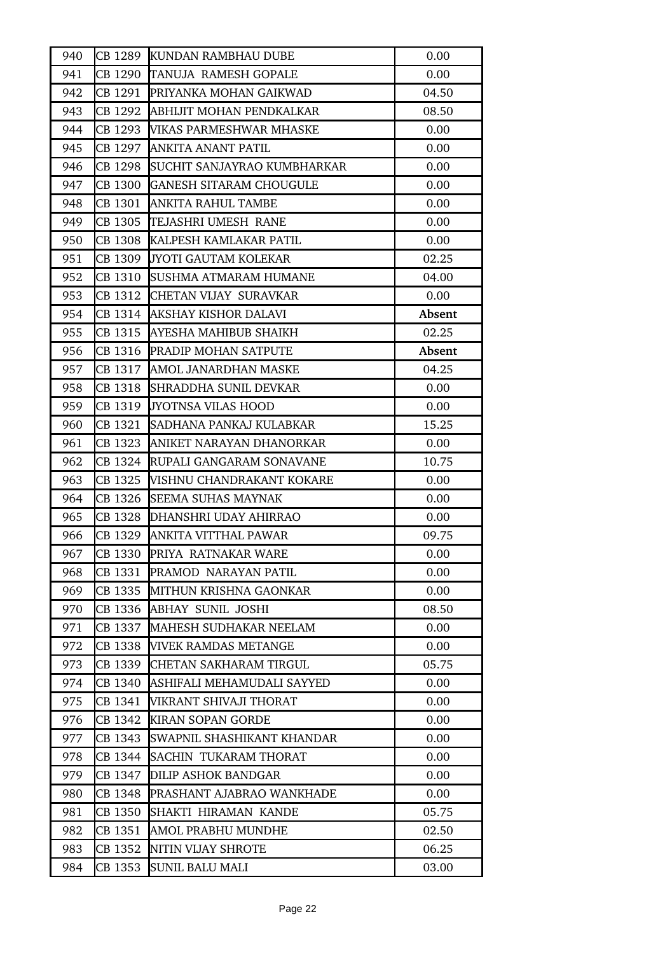| 940 | CB 1289 | KUNDAN RAMBHAU DUBE                  | 0.00   |
|-----|---------|--------------------------------------|--------|
| 941 |         | CB 1290 TANUJA RAMESH GOPALE         | 0.00   |
| 942 |         | CB 1291 PRIYANKA MOHAN GAIKWAD       | 04.50  |
| 943 | CB 1292 | ABHIJIT MOHAN PENDKALKAR             | 08.50  |
| 944 | CB 1293 | <b>VIKAS PARMESHWAR MHASKE</b>       | 0.00   |
| 945 |         | CB 1297 ANKITA ANANT PATIL           | 0.00   |
| 946 |         | CB 1298  SUCHIT SANJAYRAO KUMBHARKAR | 0.00   |
| 947 |         | CB 1300 GANESH SITARAM CHOUGULE      | 0.00   |
| 948 | CB 1301 | ANKITA RAHUL TAMBE                   | 0.00   |
| 949 |         | CB 1305 TEJASHRI UMESH RANE          | 0.00   |
| 950 |         | CB 1308 KALPESH KAMLAKAR PATIL       | 0.00   |
| 951 |         | CB 1309 JYOTI GAUTAM KOLEKAR         | 02.25  |
| 952 | CB 1310 | <b>SUSHMA ATMARAM HUMANE</b>         | 04.00  |
| 953 |         | CB 1312 CHETAN VIJAY SURAVKAR        | 0.00   |
| 954 |         | CB 1314 AKSHAY KISHOR DALAVI         | Absent |
| 955 |         | CB 1315 AYESHA MAHIBUB SHAIKH        | 02.25  |
| 956 |         | CB 1316 PRADIP MOHAN SATPUTE         | Absent |
| 957 |         | CB 1317 AMOL JANARDHAN MASKE         | 04.25  |
| 958 | CB 1318 | <b>SHRADDHA SUNIL DEVKAR</b>         | 0.00   |
| 959 | CB 1319 | <b>JYOTNSA VILAS HOOD</b>            | 0.00   |
| 960 |         | CB 1321  SADHANA PANKAJ KULABKAR     | 15.25  |
| 961 | CB 1323 | ANIKET NARAYAN DHANORKAR             | 0.00   |
| 962 |         | CB 1324 RUPALI GANGARAM SONAVANE     | 10.75  |
| 963 | CB 1325 | <b>VISHNU CHANDRAKANT KOKARE</b>     | 0.00   |
| 964 |         | CB 1326 SEEMA SUHAS MAYNAK           | 0.00   |
| 965 |         | CB 1328 DHANSHRI UDAY AHIRRAO        | 0.00   |
| 966 | CB 1329 | ANKITA VITTHAL PAWAR                 | 09.75  |
| 967 |         | CB 1330 PRIYA RATNAKAR WARE          | 0.00   |
| 968 | CB 1331 | PRAMOD NARAYAN PATIL                 | 0.00   |
| 969 |         | CB 1335 MITHUN KRISHNA GAONKAR       | 0.00   |
| 970 | CB 1336 | ABHAY SUNIL JOSHI                    | 08.50  |
| 971 | CB 1337 | MAHESH SUDHAKAR NEELAM               | 0.00   |
| 972 | CB 1338 | <b>VIVEK RAMDAS METANGE</b>          | 0.00   |
| 973 | CB 1339 | <b>CHETAN SAKHARAM TIRGUL</b>        | 05.75  |
| 974 |         | CB 1340 ASHIFALI MEHAMUDALI SAYYED   | 0.00   |
| 975 | CB 1341 | VIKRANT SHIVAJI THORAT               | 0.00   |
| 976 | CB 1342 | <b>KIRAN SOPAN GORDE</b>             | 0.00   |
| 977 | CB 1343 | SWAPNIL SHASHIKANT KHANDAR           | 0.00   |
| 978 | CB 1344 | <b>SACHIN TUKARAM THORAT</b>         | 0.00   |
| 979 | CB 1347 | DILIP ASHOK BANDGAR                  | 0.00   |
| 980 | CB 1348 | PRASHANT AJABRAO WANKHADE            | 0.00   |
| 981 | CB 1350 | SHAKTI HIRAMAN KANDE                 | 05.75  |
| 982 | CB 1351 | AMOL PRABHU MUNDHE                   | 02.50  |
| 983 | CB 1352 | NITIN VIJAY SHROTE                   | 06.25  |
| 984 | CB 1353 | SUNIL BALU MALI                      | 03.00  |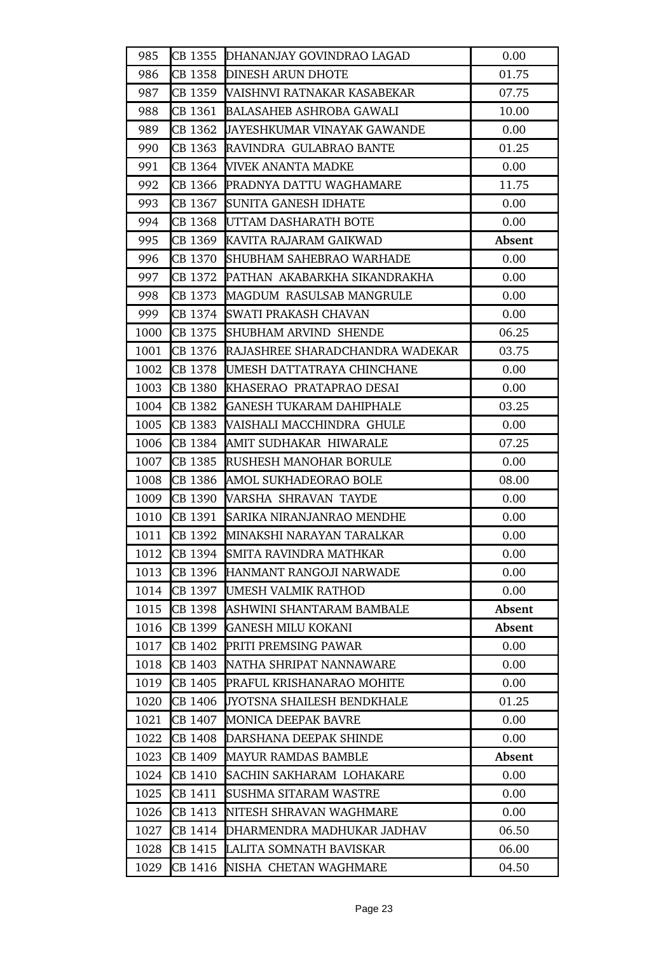| 985  |         | CB 1355 DHANANJAY GOVINDRAO LAGAD         | 0.00   |
|------|---------|-------------------------------------------|--------|
| 986  |         | CB 1358 DINESH ARUN DHOTE                 | 01.75  |
| 987  |         | CB 1359  WAISHNVI RATNAKAR KASABEKAR      | 07.75  |
| 988  | CB 1361 | <b>BALASAHEB ASHROBA GAWALI</b>           | 10.00  |
| 989  |         | CB 1362 JAYESHKUMAR VINAYAK GAWANDE       | 0.00   |
| 990  | CB 1363 | RAVINDRA GULABRAO BANTE                   | 01.25  |
| 991  |         | CB 1364 WIVEK ANANTA MADKE                | 0.00   |
| 992  |         | CB 1366 PRADNYA DATTU WAGHAMARE           | 11.75  |
| 993  | CB 1367 | <b>SUNITA GANESH IDHATE</b>               | 0.00   |
| 994  | CB 1368 | UTTAM DASHARATH BOTE                      | 0.00   |
| 995  |         | <b>CB 1369 KAVITA RAJARAM GAIKWAD</b>     | Absent |
| 996  |         | CB 1370 SHUBHAM SAHEBRAO WARHADE          | 0.00   |
| 997  | CB 1372 | PATHAN AKABARKHA SIKANDRAKHA              | 0.00   |
| 998  | CB 1373 | MAGDUM RASULSAB MANGRULE                  | 0.00   |
| 999  | CB 1374 | <b>SWATI PRAKASH CHAVAN</b>               | 0.00   |
| 1000 |         | CB 1375 SHUBHAM ARVIND SHENDE             | 06.25  |
| 1001 |         | CB 1376 RAJASHREE SHARADCHANDRA WADEKAR   | 03.75  |
| 1002 |         | <b>CB 1378 UMESH DATTATRAYA CHINCHANE</b> | 0.00   |
| 1003 |         | <b>CB 1380 KHASERAO PRATAPRAO DESAI</b>   | 0.00   |
| 1004 | CB 1382 | <b>GANESH TUKARAM DAHIPHALE</b>           | 03.25  |
| 1005 |         | <b>CB 1383 WAISHALI MACCHINDRA GHULE</b>  | 0.00   |
| 1006 | CB 1384 | AMIT SUDHAKAR HIWARALE                    | 07.25  |
| 1007 | CB 1385 | <b>RUSHESH MANOHAR BORULE</b>             | 0.00   |
| 1008 | CB 1386 | AMOL SUKHADEORAO BOLE                     | 08.00  |
| 1009 |         | CB 1390 VARSHA SHRAVAN TAYDE              | 0.00   |
| 1010 |         | <b>CB 1391 SARIKA NIRANJANRAO MENDHE</b>  | 0.00   |
| 1011 |         | CB 1392 MINAKSHI NARAYAN TARALKAR         | 0.00   |
| 1012 | CB 1394 | SMITA RAVINDRA MATHKAR                    | 0.00   |
| 1013 | CB 1396 | HANMANT RANGOJI NARWADE                   | 0.00   |
| 1014 | CB 1397 | UMESH VALMIK RATHOD                       | 0.00   |
| 1015 | CB 1398 | ASHWINI SHANTARAM BAMBALE                 | Absent |
| 1016 | CB 1399 | <b>GANESH MILU KOKANI</b>                 | Absent |
| 1017 | CB 1402 | <b>PRITI PREMSING PAWAR</b>               | 0.00   |
| 1018 | CB 1403 | NATHA SHRIPAT NANNAWARE                   | 0.00   |
| 1019 | CB 1405 | <b>PRAFUL KRISHANARAO MOHITE</b>          | 0.00   |
| 1020 | CB 1406 | JYOTSNA SHAILESH BENDKHALE                | 01.25  |
| 1021 | CB 1407 | <b>MONICA DEEPAK BAVRE</b>                | 0.00   |
| 1022 | CB 1408 | DARSHANA DEEPAK SHINDE                    | 0.00   |
| 1023 | CB 1409 | <b>MAYUR RAMDAS BAMBLE</b>                | Absent |
| 1024 | CB 1410 | SACHIN SAKHARAM LOHAKARE                  | 0.00   |
| 1025 | CB 1411 | SUSHMA SITARAM WASTRE                     | 0.00   |
| 1026 | CB 1413 | NITESH SHRAVAN WAGHMARE                   | 0.00   |
| 1027 | CB 1414 | DHARMENDRA MADHUKAR JADHAV                | 06.50  |
| 1028 | CB 1415 | LALITA SOMNATH BAVISKAR                   | 06.00  |
| 1029 | CB 1416 | NISHA CHETAN WAGHMARE                     | 04.50  |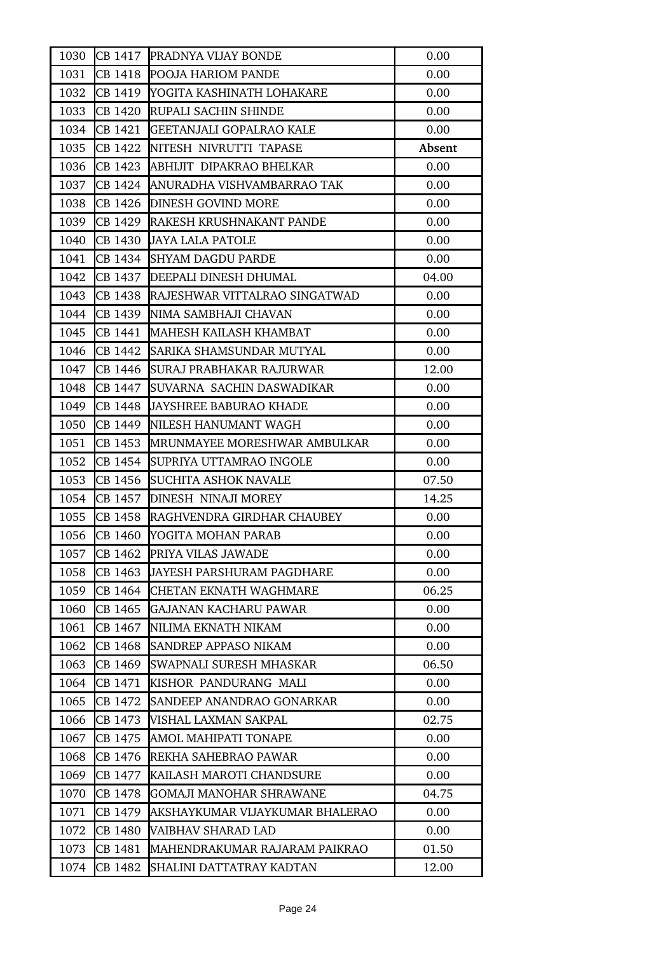| 1030 |         | <b>CB 1417 PRADNYA VIJAY BONDE</b>           | 0.00   |
|------|---------|----------------------------------------------|--------|
| 1031 |         | CB 1418 POOJA HARIOM PANDE                   | 0.00   |
| 1032 |         | <b>CB 1419 YOGITA KASHINATH LOHAKARE</b>     | 0.00   |
| 1033 |         | CB 1420 RUPALI SACHIN SHINDE                 | 0.00   |
| 1034 |         | CB 1421 GEETANJALI GOPALRAO KALE             | 0.00   |
| 1035 | CB 1422 | NITESH NIVRUTTI TAPASE                       | Absent |
| 1036 |         | <b>CB 1423 ABHIJIT DIPAKRAO BHELKAR</b>      | 0.00   |
| 1037 |         | <b>CB 1424 ANURADHA VISHVAMBARRAO TAK</b>    | 0.00   |
| 1038 | CB 1426 | <b>DINESH GOVIND MORE</b>                    | 0.00   |
| 1039 |         | <b>CB 1429 RAKESH KRUSHNAKANT PANDE</b>      | 0.00   |
| 1040 |         | CB 1430 JAYA LALA PATOLE                     | 0.00   |
| 1041 |         | CB 1434 SHYAM DAGDU PARDE                    | 0.00   |
| 1042 |         | <b>CB 1437 DEEPALI DINESH DHUMAL</b>         | 04.00  |
| 1043 |         | <b>CB 1438 RAJESHWAR VITTALRAO SINGATWAD</b> | 0.00   |
| 1044 |         | CB 1439 NIMA SAMBHAJI CHAVAN                 | 0.00   |
| 1045 | CB 1441 | MAHESH KAILASH KHAMBAT                       | 0.00   |
| 1046 |         | ICB 1442 ISARIKA SHAMSUNDAR MUTYAL           | 0.00   |
| 1047 |         | CB 1446 SURAJ PRABHAKAR RAJURWAR             | 12.00  |
| 1048 | CB 1447 | SUVARNA SACHIN DASWADIKAR                    | 0.00   |
| 1049 | CB 1448 | <b>JAYSHREE BABURAO KHADE</b>                | 0.00   |
| 1050 |         | CB 1449 NILESH HANUMANT WAGH                 | 0.00   |
| 1051 |         | CB 1453 MRUNMAYEE MORESHWAR AMBULKAR         | 0.00   |
| 1052 | CB 1454 | <b>SUPRIYA UTTAMRAO INGOLE</b>               | 0.00   |
| 1053 | CB 1456 | <b>SUCHITA ASHOK NAVALE</b>                  | 07.50  |
| 1054 |         | CB 1457 DINESH NINAJI MOREY                  | 14.25  |
| 1055 |         | <b>CB 1458 RAGHVENDRA GIRDHAR CHAUBEY</b>    | 0.00   |
| 1056 |         | CB 1460 YOGITA MOHAN PARAB                   | 0.00   |
| 1057 | CB 1462 | PRIYA VILAS JAWADE                           | 0.00   |
| 1058 | CB 1463 | <b>JAYESH PARSHURAM PAGDHARE</b>             | 0.00   |
| 1059 | CB 1464 | <b>CHETAN EKNATH WAGHMARE</b>                | 06.25  |
| 1060 | CB 1465 | GAJANAN KACHARU PAWAR                        | 0.00   |
| 1061 | CB 1467 | NILIMA EKNATH NIKAM                          | 0.00   |
| 1062 | CB 1468 | <b>SANDREP APPASO NIKAM</b>                  | 0.00   |
| 1063 | CB 1469 | SWAPNALI SURESH MHASKAR                      | 06.50  |
| 1064 | CB 1471 | KISHOR PANDURANG MALI                        | 0.00   |
| 1065 | CB 1472 | SANDEEP ANANDRAO GONARKAR                    | 0.00   |
| 1066 | CB 1473 | VISHAL LAXMAN SAKPAL                         | 02.75  |
| 1067 | CB 1475 | AMOL MAHIPATI TONAPE                         | 0.00   |
| 1068 | CB 1476 | REKHA SAHEBRAO PAWAR                         | 0.00   |
| 1069 | CB 1477 | KAILASH MAROTI CHANDSURE                     | 0.00   |
| 1070 | CB 1478 | <b>GOMAJI MANOHAR SHRAWANE</b>               | 04.75  |
| 1071 | CB 1479 | AKSHAYKUMAR VIJAYKUMAR BHALERAO              | 0.00   |
| 1072 | CB 1480 | VAIBHAV SHARAD LAD                           | 0.00   |
| 1073 | CB 1481 | MAHENDRAKUMAR RAJARAM PAIKRAO                | 01.50  |
| 1074 | CB 1482 | SHALINI DATTATRAY KADTAN                     | 12.00  |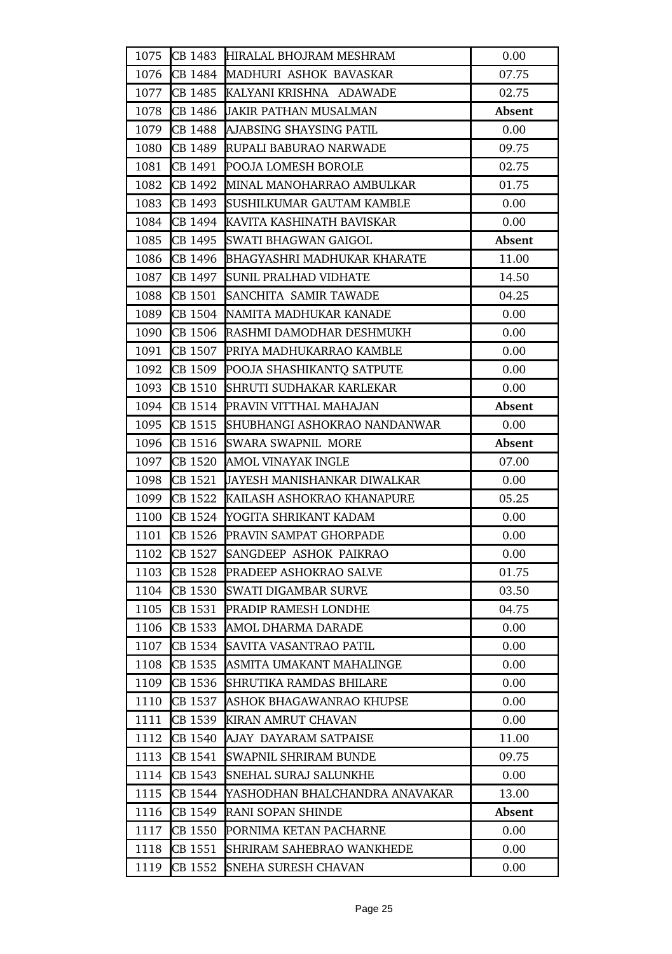| 1075 |         | CB 1483 HIRALAL BHOJRAM MESHRAM            | 0.00   |
|------|---------|--------------------------------------------|--------|
| 1076 |         | CB 1484 MADHURI ASHOK BAVASKAR             | 07.75  |
| 1077 |         | CB 1485 KALYANI KRISHNA ADAWADE            | 02.75  |
| 1078 | CB 1486 | <b>JAKIR PATHAN MUSALMAN</b>               | Absent |
| 1079 |         | CB 1488 AJABSING SHAYSING PATIL            | 0.00   |
| 1080 |         | CB 1489 RUPALI BABURAO NARWADE             | 09.75  |
| 1081 |         | CB 1491 POOJA LOMESH BOROLE                | 02.75  |
| 1082 |         | CB 1492 MINAL MANOHARRAO AMBULKAR          | 01.75  |
| 1083 |         | CB 1493 SUSHILKUMAR GAUTAM KAMBLE          | 0.00   |
| 1084 |         | CB 1494 KAVITA KASHINATH BAVISKAR          | 0.00   |
| 1085 |         | CB 1495 SWATI BHAGWAN GAIGOL               | Absent |
| 1086 |         | <b>CB 1496 BHAGYASHRI MADHUKAR KHARATE</b> | 11.00  |
| 1087 |         | CB 1497 SUNIL PRALHAD VIDHATE              | 14.50  |
| 1088 |         | CB 1501 SANCHITA SAMIR TAWADE              | 04.25  |
| 1089 |         | CB 1504 NAMITA MADHUKAR KANADE             | 0.00   |
| 1090 |         | CB 1506 RASHMI DAMODHAR DESHMUKH           | 0.00   |
| 1091 |         | CB 1507 PRIYA MADHUKARRAO KAMBLE           | 0.00   |
| 1092 |         | CB 1509 POOJA SHASHIKANTO SATPUTE          | 0.00   |
| 1093 |         | CB 1510 SHRUTI SUDHAKAR KARLEKAR           | 0.00   |
| 1094 |         | CB 1514 PRAVIN VITTHAL MAHAJAN             | Absent |
| 1095 |         | CB 1515 SHUBHANGI ASHOKRAO NANDANWAR       | 0.00   |
| 1096 |         | CB 1516 SWARA SWAPNIL MORE                 | Absent |
| 1097 |         | CB 1520 AMOL VINAYAK INGLE                 | 07.00  |
| 1098 | CB 1521 | JAYESH MANISHANKAR DIWALKAR                | 0.00   |
| 1099 |         | <b>CB 1522 KAILASH ASHOKRAO KHANAPURE</b>  | 05.25  |
| 1100 |         | CB 1524 YOGITA SHRIKANT KADAM              | 0.00   |
| 1101 |         | CB 1526 PRAVIN SAMPAT GHORPADE             | 0.00   |
| 1102 | CB 1527 | SANGDEEP ASHOK PAIKRAO                     | 0.00   |
| 1103 | CB 1528 | <b>PRADEEP ASHOKRAO SALVE</b>              | 01.75  |
| 1104 | CB 1530 | <b>SWATI DIGAMBAR SURVE</b>                | 03.50  |
| 1105 | CB 1531 | <b>PRADIP RAMESH LONDHE</b>                | 04.75  |
| 1106 | CB 1533 | AMOL DHARMA DARADE                         | 0.00   |
| 1107 | CB 1534 | SAVITA VASANTRAO PATIL                     | 0.00   |
| 1108 | CB 1535 | ASMITA UMAKANT MAHALINGE                   | 0.00   |
| 1109 | CB 1536 | <b>SHRUTIKA RAMDAS BHILARE</b>             | 0.00   |
| 1110 | CB 1537 | ASHOK BHAGAWANRAO KHUPSE                   | 0.00   |
| 1111 |         | CB 1539 KIRAN AMRUT CHAVAN                 | 0.00   |
| 1112 | CB 1540 | AJAY DAYARAM SATPAISE                      | 11.00  |
| 1113 | CB 1541 | <b>SWAPNIL SHRIRAM BUNDE</b>               | 09.75  |
| 1114 | CB 1543 | SNEHAL SURAJ SALUNKHE                      | 0.00   |
| 1115 | CB 1544 | YASHODHAN BHALCHANDRA ANAVAKAR             | 13.00  |
| 1116 | CB 1549 | RANI SOPAN SHINDE                          | Absent |
| 1117 | CB 1550 | PORNIMA KETAN PACHARNE                     | 0.00   |
| 1118 | CB 1551 | <b>SHRIRAM SAHEBRAO WANKHEDE</b>           | 0.00   |
| 1119 | CB 1552 | SNEHA SURESH CHAVAN                        | 0.00   |